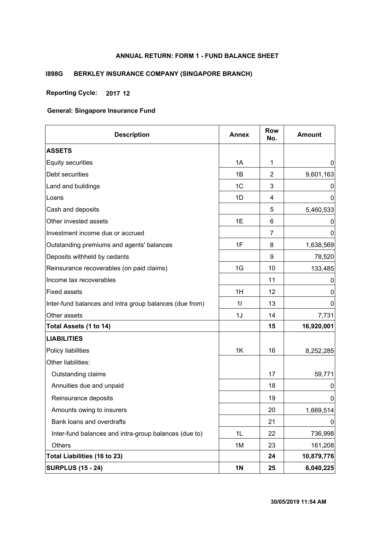## **ANNUAL RETURN: FORM 1 - FUND BALANCE SHEET**

## **I898G BERKLEY INSURANCE COMPANY (SINGAPORE BRANCH)**

## **Reporting Cycle: 2017 12**

| <b>Description</b>                                      | <b>Annex</b>   | <b>Row</b><br>No. | <b>Amount</b> |
|---------------------------------------------------------|----------------|-------------------|---------------|
| <b>ASSETS</b>                                           |                |                   |               |
| <b>Equity securities</b>                                | 1A             | 1                 | 0             |
| Debt securities                                         | 1Β             | $\overline{c}$    | 9,601,163     |
| Land and buildings                                      | 1 <sub>C</sub> | 3                 | O             |
| Loans                                                   | 1D             | 4                 | 0             |
| Cash and deposits                                       |                | 5                 | 5,460,533     |
| Other invested assets                                   | 1E             | 6                 | O             |
| Investment income due or accrued                        |                | 7                 | 0             |
| Outstanding premiums and agents' balances               | 1F             | 8                 | 1,638,569     |
| Deposits withheld by cedants                            |                | 9                 | 78,520        |
| Reinsurance recoverables (on paid claims)               | 1G             | 10                | 133,485       |
| Income tax recoverables                                 |                | 11                | O             |
| <b>Fixed assets</b>                                     | 1H             | 12                | 0             |
| Inter-fund balances and intra group balances (due from) | 11             | 13                | 0             |
| Other assets                                            | 1J             | 14                | 7,731         |
| Total Assets (1 to 14)                                  |                | 15                | 16,920,001    |
| <b>LIABILITIES</b>                                      |                |                   |               |
| Policy liabilities                                      | 1K             | 16                | 8,252,285     |
| Other liabilities:                                      |                |                   |               |
| Outstanding claims                                      |                | 17                | 59,771        |
| Annuities due and unpaid                                |                | 18                | O             |
| Reinsurance deposits                                    |                | 19                | 0             |
| Amounts owing to insurers                               |                | 20                | 1,669,514     |
| Bank loans and overdrafts                               |                | 21                | 0             |
| Inter-fund balances and intra-group balances (due to)   | 1L             | 22                | 736,998       |
| Others                                                  | 1M             | 23                | 161,208       |
| Total Liabilities (16 to 23)                            |                | 24                | 10,879,776    |
| <b>SURPLUS (15 - 24)</b>                                | <b>1N</b>      | 25                | 6,040,225     |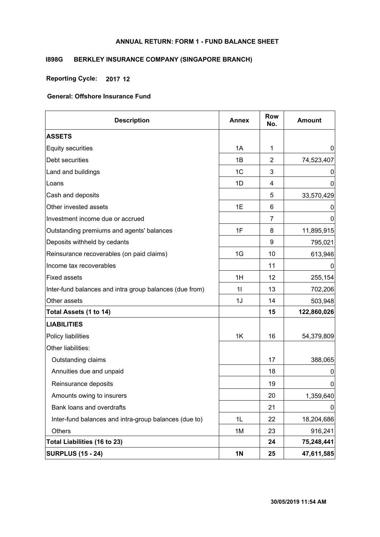## **ANNUAL RETURN: FORM 1 - FUND BALANCE SHEET**

## **I898G BERKLEY INSURANCE COMPANY (SINGAPORE BRANCH)**

**Reporting Cycle: 2017 12**

| <b>Description</b>                                      | <b>Annex</b> | <b>Row</b><br>No. | <b>Amount</b> |
|---------------------------------------------------------|--------------|-------------------|---------------|
| <b>ASSETS</b>                                           |              |                   |               |
| Equity securities                                       | 1A           | 1                 | $\mathbf 0$   |
| Debt securities                                         | 1B           | 2                 | 74,523,407    |
| Land and buildings                                      | 1C           | 3                 | 0             |
| Loans                                                   | 1D           | 4                 | 0             |
| Cash and deposits                                       |              | 5                 | 33,570,429    |
| Other invested assets                                   | 1E           | 6                 | 0             |
| Investment income due or accrued                        |              | $\overline{7}$    | 0             |
| Outstanding premiums and agents' balances               | 1F           | 8                 | 11,895,915    |
| Deposits withheld by cedants                            |              | 9                 | 795,021       |
| Reinsurance recoverables (on paid claims)               | 1G           | 10                | 613,946       |
| Income tax recoverables                                 |              | 11                | 0             |
| <b>Fixed assets</b>                                     | 1H           | 12                | 255,154       |
| Inter-fund balances and intra group balances (due from) | 11           | 13                | 702,206       |
| Other assets                                            | 1J           | 14                | 503,948       |
| Total Assets (1 to 14)                                  |              | 15                | 122,860,026   |
| <b>LIABILITIES</b>                                      |              |                   |               |
| Policy liabilities                                      | 1K           | 16                | 54,379,809    |
| Other liabilities:                                      |              |                   |               |
| Outstanding claims                                      |              | 17                | 388,065       |
| Annuities due and unpaid                                |              | 18                | 0             |
| Reinsurance deposits                                    |              | 19                | 0             |
| Amounts owing to insurers                               |              | 20                | 1,359,640     |
| Bank loans and overdrafts                               |              | 21                | 0             |
| Inter-fund balances and intra-group balances (due to)   | 1L           | 22                | 18,204,686    |
| Others                                                  | 1M           | 23                | 916,241       |
| Total Liabilities (16 to 23)                            |              | 24                | 75,248,441    |
| <b>SURPLUS (15 - 24)</b>                                | <b>1N</b>    | 25                | 47,611,585    |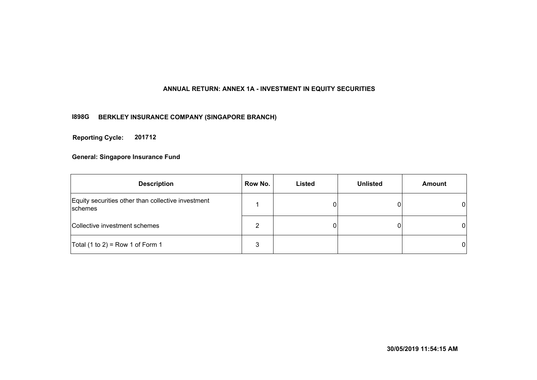## **ANNUAL RETURN: ANNEX 1A - INVESTMENT IN EQUITY SECURITIES**

## **I898G BERKLEY INSURANCE COMPANY (SINGAPORE BRANCH)**

**201712 Reporting Cycle:**

| <b>Description</b>                                                   | Row No. | Listed | <b>Unlisted</b> | <b>Amount</b> |
|----------------------------------------------------------------------|---------|--------|-----------------|---------------|
| Equity securities other than collective investment<br><b>schemes</b> |         | 0      |                 | $\mathbf{0}$  |
| Collective investment schemes                                        |         |        |                 | $\mathbf{0}$  |
| Total $(1 to 2)$ = Row 1 of Form 1                                   | 3       |        |                 | $\mathbf{0}$  |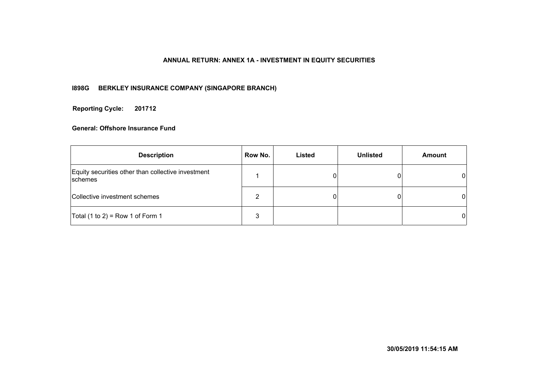#### **ANNUAL RETURN: ANNEX 1A - INVESTMENT IN EQUITY SECURITIES**

## **I898G BERKLEY INSURANCE COMPANY (SINGAPORE BRANCH)**

**201712 Reporting Cycle:**

| <b>Description</b>                                            | Row No. | Listed | <b>Unlisted</b> | <b>Amount</b> |
|---------------------------------------------------------------|---------|--------|-----------------|---------------|
| Equity securities other than collective investment<br>schemes |         |        |                 | 01            |
| Collective investment schemes                                 |         |        |                 | 01            |
| Total (1 to 2) = Row 1 of Form 1                              |         |        |                 | 0             |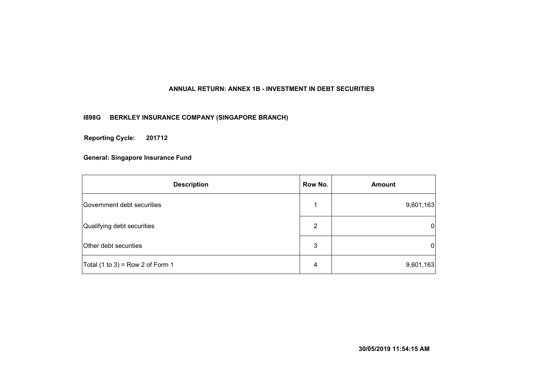## **ANNUAL RETURN: ANNEX 1B - INVESTMENT IN DEBT SECURITIES**

**I898G BERKLEY INSURANCE COMPANY (SINGAPORE BRANCH)**

**201712 Reporting Cycle:**

| <b>Description</b>                 | Row No. | <b>Amount</b> |
|------------------------------------|---------|---------------|
| Government debt securities         |         | 9,601,163     |
| Qualifying debt securities         | 2       | 0             |
| Other debt securities              | 3       | 0             |
| Total $(1 to 3)$ = Row 2 of Form 1 | 4       | 9,601,163     |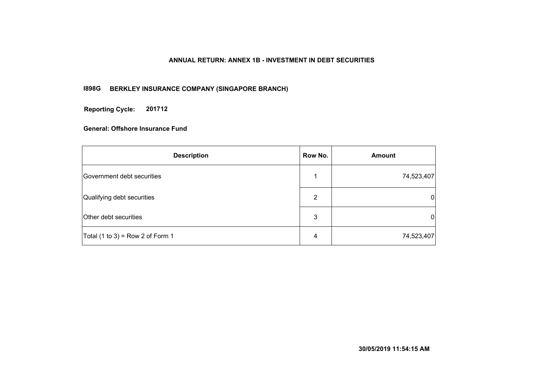#### **ANNUAL RETURN: ANNEX 1B - INVESTMENT IN DEBT SECURITIES**

## **I898G BERKLEY INSURANCE COMPANY (SINGAPORE BRANCH)**

**201712 Reporting Cycle:**

| <b>Description</b>                 | Row No. | Amount         |
|------------------------------------|---------|----------------|
| Government debt securities         |         | 74,523,407     |
| Qualifying debt securities         | 2       | $\overline{0}$ |
| Other debt securities              | 3       | $\overline{0}$ |
| Total $(1 to 3)$ = Row 2 of Form 1 | 4       | 74,523,407     |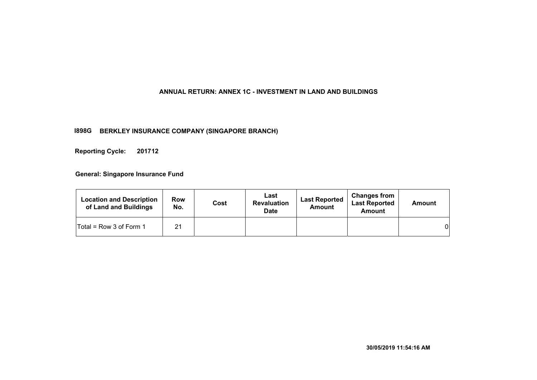#### **ANNUAL RETURN: ANNEX 1C - INVESTMENT IN LAND AND BUILDINGS**

#### **I898G BERKLEY INSURANCE COMPANY (SINGAPORE BRANCH)**

**201712 Reporting Cycle:**

| <b>Location and Description</b><br>of Land and Buildings | <b>Row</b><br>No. | Cost | Last<br><b>Revaluation</b><br><b>Date</b> | <b>Last Reported</b><br>Amount | <b>Changes from</b><br><b>Last Reported</b><br>Amount | Amount |
|----------------------------------------------------------|-------------------|------|-------------------------------------------|--------------------------------|-------------------------------------------------------|--------|
| Total = Row 3 of Form 1                                  | 21                |      |                                           |                                |                                                       | 0      |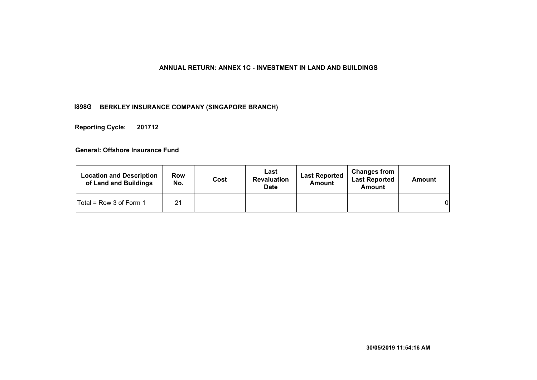#### **ANNUAL RETURN: ANNEX 1C - INVESTMENT IN LAND AND BUILDINGS**

#### **I898G BERKLEY INSURANCE COMPANY (SINGAPORE BRANCH)**

**201712 Reporting Cycle:**

| <b>Location and Description</b><br>of Land and Buildings | <b>Row</b><br>No. | Cost | Last<br><b>Revaluation</b><br><b>Date</b> | <b>Last Reported</b><br><b>Amount</b> | <b>Changes from</b><br><b>Last Reported</b><br><b>Amount</b> | <b>Amount</b> |
|----------------------------------------------------------|-------------------|------|-------------------------------------------|---------------------------------------|--------------------------------------------------------------|---------------|
| $Total = Row 3 of Form 1$                                | 21                |      |                                           |                                       |                                                              | 01            |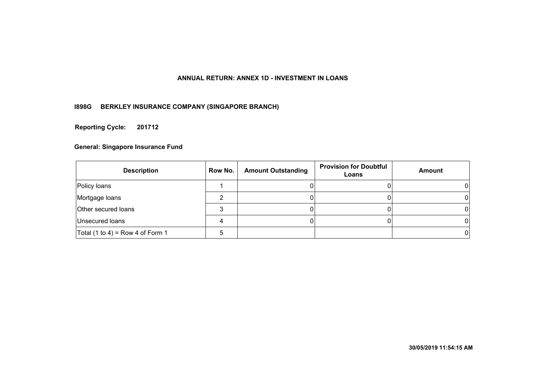## **ANNUAL RETURN: ANNEX 1D - INVESTMENT IN LOANS**

## **I898G BERKLEY INSURANCE COMPANY (SINGAPORE BRANCH)**

**201712 Reporting Cycle:**

| <b>Description</b>               | Row No. | <b>Amount Outstanding</b> | <b>Provision for Doubtful</b><br>Loans | Amount |
|----------------------------------|---------|---------------------------|----------------------------------------|--------|
| Policy loans                     |         |                           |                                        |        |
| Mortgage loans                   |         |                           |                                        |        |
| Other secured loans              |         |                           |                                        |        |
| Unsecured loans                  | 4       |                           |                                        |        |
| Total (1 to 4) = Row 4 of Form 1 |         |                           |                                        |        |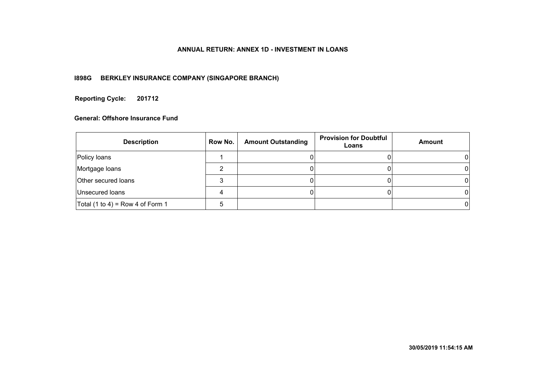#### **ANNUAL RETURN: ANNEX 1D - INVESTMENT IN LOANS**

## **I898G BERKLEY INSURANCE COMPANY (SINGAPORE BRANCH)**

#### **201712 Reporting Cycle:**

| <b>Description</b>               | Row No. | <b>Amount Outstanding</b> | <b>Provision for Doubtful</b><br>Loans | Amount |
|----------------------------------|---------|---------------------------|----------------------------------------|--------|
| Policy loans                     |         |                           |                                        |        |
| Mortgage loans                   |         |                           |                                        |        |
| <b>Other secured loans</b>       |         |                           |                                        |        |
| Unsecured loans                  |         |                           |                                        |        |
| Total (1 to 4) = Row 4 of Form 1 |         |                           |                                        |        |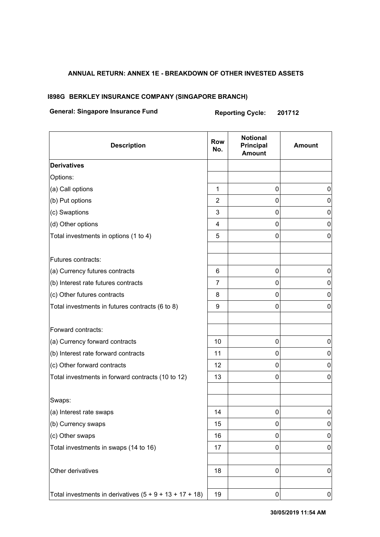## **ANNUAL RETURN: ANNEX 1E - BREAKDOWN OF OTHER INVESTED ASSETS**

#### **I898G BERKLEY INSURANCE COMPANY (SINGAPORE BRANCH)**

# **General: Singapore Insurance Fund Reporting Cycle: 201712**

| <b>Description</b>                                        | <b>Row</b><br>No. | <b>Notional</b><br>Principal<br><b>Amount</b> | <b>Amount</b> |
|-----------------------------------------------------------|-------------------|-----------------------------------------------|---------------|
| <b>Derivatives</b>                                        |                   |                                               |               |
| Options:                                                  |                   |                                               |               |
| (a) Call options                                          | 1                 | 0                                             | 0             |
| (b) Put options                                           | $\overline{2}$    | 0                                             | $\pmb{0}$     |
| (c) Swaptions                                             | 3                 | 0                                             | 0             |
| (d) Other options                                         | 4                 | 0                                             | $\mathbf 0$   |
| Total investments in options (1 to 4)                     | 5                 | 0                                             | 0             |
| Futures contracts:                                        |                   |                                               |               |
| (a) Currency futures contracts                            | 6                 | 0                                             | 0             |
| (b) Interest rate futures contracts                       | 7                 | 0                                             | 0             |
| (c) Other futures contracts                               | 8                 | 0                                             | 0             |
| Total investments in futures contracts (6 to 8)           | 9                 | 0                                             | $\mathbf 0$   |
| Forward contracts:                                        |                   |                                               |               |
| (a) Currency forward contracts                            | 10                | 0                                             | 0             |
| (b) Interest rate forward contracts                       | 11                | 0                                             | $\pmb{0}$     |
| (c) Other forward contracts                               | 12                | 0                                             | $\mathbf 0$   |
| Total investments in forward contracts (10 to 12)         | 13                | 0                                             | $\pmb{0}$     |
| Swaps:                                                    |                   |                                               |               |
| (a) Interest rate swaps                                   | 14                | 0                                             | 0             |
| (b) Currency swaps                                        | 15                | 0                                             | 0             |
| (c) Other swaps                                           | 16                | 0                                             | 0             |
| Total investments in swaps (14 to 16)                     | 17                | 0                                             | 0             |
| Other derivatives                                         | 18                | 0                                             | 0             |
| Total investments in derivatives $(5 + 9 + 13 + 17 + 18)$ | 19                | 0                                             | $\pmb{0}$     |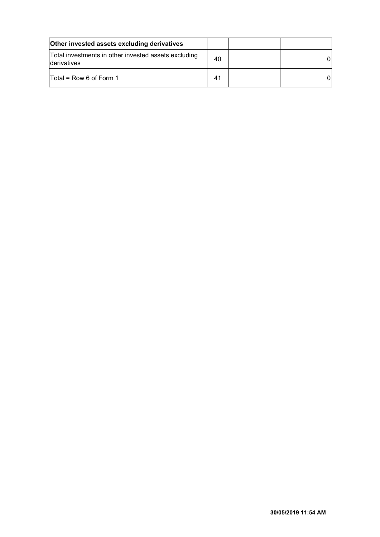| <b>Other invested assets excluding derivatives</b>                         |    |  |
|----------------------------------------------------------------------------|----|--|
| Total investments in other invested assets excluding<br><b>derivatives</b> | 40 |  |
| Total = $Row 6$ of Form 1                                                  | 41 |  |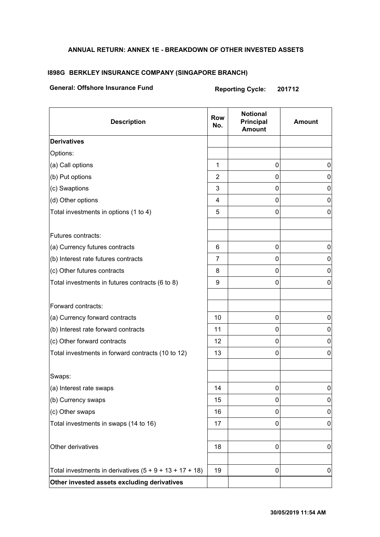## **ANNUAL RETURN: ANNEX 1E - BREAKDOWN OF OTHER INVESTED ASSETS**

#### **I898G BERKLEY INSURANCE COMPANY (SINGAPORE BRANCH)**

# **General: Offshore Insurance Fund Reporting Cycle: 201712**

| <b>Description</b>                                        | <b>Row</b><br>No. | <b>Notional</b><br>Principal<br><b>Amount</b> | <b>Amount</b> |
|-----------------------------------------------------------|-------------------|-----------------------------------------------|---------------|
| <b>Derivatives</b>                                        |                   |                                               |               |
| Options:                                                  |                   |                                               |               |
| (a) Call options                                          | $\mathbf{1}$      | 0                                             | 0             |
| (b) Put options                                           | 2                 | 0                                             | 0             |
| (c) Swaptions                                             | 3                 | $\mathbf 0$                                   | 0             |
| (d) Other options                                         | 4                 | 0                                             | 0             |
| Total investments in options (1 to 4)                     | 5                 | 0                                             | 0             |
| Futures contracts:                                        |                   |                                               |               |
| (a) Currency futures contracts                            | 6                 | 0                                             | 0             |
| (b) Interest rate futures contracts                       | 7                 | 0                                             | 0             |
| (c) Other futures contracts                               | 8                 | $\pmb{0}$                                     | 0             |
| Total investments in futures contracts (6 to 8)           | 9                 | $\mathbf 0$                                   | 0             |
| Forward contracts:                                        |                   |                                               |               |
| (a) Currency forward contracts                            | 10                | 0                                             | 0             |
| (b) Interest rate forward contracts                       | 11                | $\mathbf 0$                                   | $\mathbf 0$   |
| (c) Other forward contracts                               | 12                | $\mathbf 0$                                   | 0             |
| Total investments in forward contracts (10 to 12)         | 13                | 0                                             | 0             |
| Swaps:                                                    |                   |                                               |               |
| (a) Interest rate swaps                                   | 14                | 0                                             | 0             |
| (b) Currency swaps                                        | 15                | 0                                             | 0             |
| (c) Other swaps                                           | 16                | 0                                             | 0             |
| Total investments in swaps (14 to 16)                     | 17                | 0                                             | 0             |
| Other derivatives                                         | 18                | 0                                             | 0             |
| Total investments in derivatives $(5 + 9 + 13 + 17 + 18)$ | 19                | $\pmb{0}$                                     | $\pmb{0}$     |
| Other invested assets excluding derivatives               |                   |                                               |               |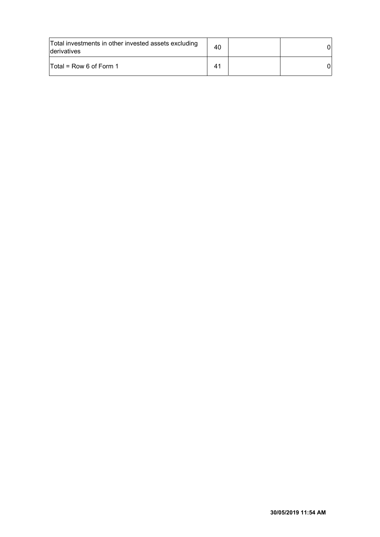| Total investments in other invested assets excluding<br><b>derivatives</b> | 40                    |  |
|----------------------------------------------------------------------------|-----------------------|--|
| $\mathsf{T}$ otal = Row 6 of Form 1                                        | $\mathbf{4}^{\prime}$ |  |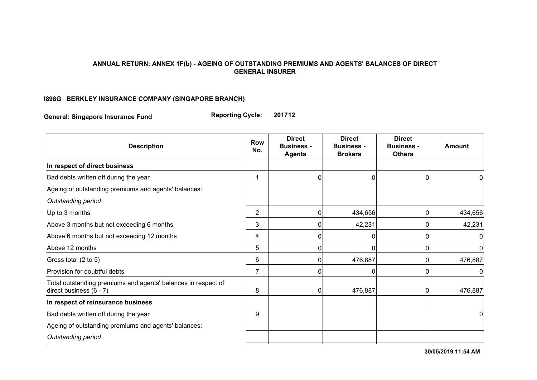#### **ANNUAL RETURN: ANNEX 1F(b) - AGEING OF OUTSTANDING PREMIUMS AND AGENTS' BALANCES OF DIRECT GENERAL INSURER**

## **I898G BERKLEY INSURANCE COMPANY (SINGAPORE BRANCH)**

**General: Singapore Insurance Fund Reporting Cycle: 201712**

| <b>Description</b>                                                                       | <b>Row</b><br>No. | <b>Direct</b><br><b>Business -</b><br><b>Agents</b> | <b>Direct</b><br><b>Business -</b><br><b>Brokers</b> | <b>Direct</b><br><b>Business -</b><br><b>Others</b> | <b>Amount</b> |
|------------------------------------------------------------------------------------------|-------------------|-----------------------------------------------------|------------------------------------------------------|-----------------------------------------------------|---------------|
| In respect of direct business                                                            |                   |                                                     |                                                      |                                                     |               |
| Bad debts written off during the year                                                    | 1                 |                                                     | 0                                                    | 0                                                   | 0             |
| Ageing of outstanding premiums and agents' balances:                                     |                   |                                                     |                                                      |                                                     |               |
| Outstanding period                                                                       |                   |                                                     |                                                      |                                                     |               |
| Up to 3 months                                                                           | $\overline{2}$    |                                                     | 434,656                                              | 0                                                   | 434,656       |
| Above 3 months but not exceeding 6 months                                                | 3                 |                                                     | 42,231                                               | 0                                                   | 42,231        |
| Above 6 months but not exceeding 12 months                                               | 4                 |                                                     | 0                                                    | 0                                                   | 0             |
| Above 12 months                                                                          | 5                 | <sup>0</sup>                                        | 0                                                    | 0                                                   | 0             |
| Gross total (2 to 5)                                                                     | 6                 | 0                                                   | 476,887                                              | 0                                                   | 476,887       |
| Provision for doubtful debts                                                             | $\overline{7}$    |                                                     |                                                      | 0                                                   | 0             |
| Total outstanding premiums and agents' balances in respect of<br>direct business (6 - 7) | 8                 |                                                     | 476,887                                              | $\overline{0}$                                      | 476,887       |
| In respect of reinsurance business                                                       |                   |                                                     |                                                      |                                                     |               |
| Bad debts written off during the year                                                    | 9                 |                                                     |                                                      |                                                     | 0             |
| Ageing of outstanding premiums and agents' balances:                                     |                   |                                                     |                                                      |                                                     |               |
| Outstanding period                                                                       |                   |                                                     |                                                      |                                                     |               |

Up to 6 months 10 1,161,682 **30/05/2019 11:54 AM**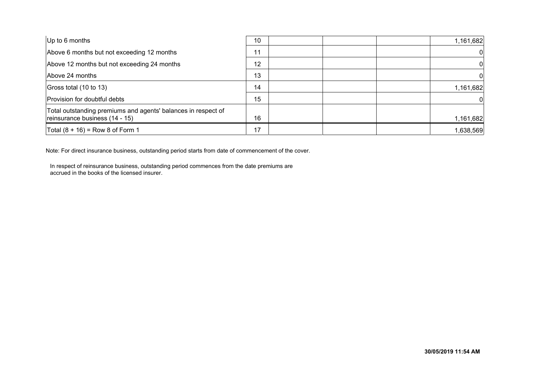| $ Up$ to 6 months                                                                               | 10 | 1,161,682 |
|-------------------------------------------------------------------------------------------------|----|-----------|
| Above 6 months but not exceeding 12 months                                                      |    | 01        |
| Above 12 months but not exceeding 24 months                                                     | 12 | 0         |
| Above 24 months                                                                                 | 13 | 0         |
| Gross total (10 to 13)                                                                          | 14 | 1,161,682 |
| Provision for doubtful debts                                                                    | 15 | 0         |
| Total outstanding premiums and agents' balances in respect of<br>reinsurance business (14 - 15) | 16 | 1,161,682 |
| Total $(8 + 16) =$ Row 8 of Form 1                                                              | 17 | 1,638,569 |

Note: For direct insurance business, outstanding period starts from date of commencement of the cover.

In respect of reinsurance business, outstanding period commences from the date premiums are accrued in the books of the licensed insurer.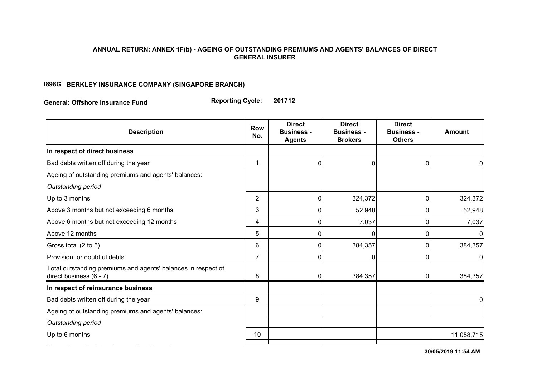#### **ANNUAL RETURN: ANNEX 1F(b) - AGEING OF OUTSTANDING PREMIUMS AND AGENTS' BALANCES OF DIRECT GENERAL INSURER**

## **I898G BERKLEY INSURANCE COMPANY (SINGAPORE BRANCH)**

**General: Offshore Insurance Fund Reporting Cycle: 201712**

| <b>Description</b>                                                                       | <b>Row</b><br>No. | <b>Direct</b><br><b>Business -</b><br><b>Agents</b> | <b>Direct</b><br><b>Business -</b><br><b>Brokers</b> | <b>Direct</b><br><b>Business -</b><br><b>Others</b> | <b>Amount</b>  |
|------------------------------------------------------------------------------------------|-------------------|-----------------------------------------------------|------------------------------------------------------|-----------------------------------------------------|----------------|
| In respect of direct business                                                            |                   |                                                     |                                                      |                                                     |                |
| Bad debts written off during the year                                                    | 1                 | 0                                                   | 0                                                    | 0                                                   | 0              |
| Ageing of outstanding premiums and agents' balances:                                     |                   |                                                     |                                                      |                                                     |                |
| Outstanding period                                                                       |                   |                                                     |                                                      |                                                     |                |
| Up to 3 months                                                                           | $\overline{2}$    | $\mathbf 0$                                         | 324,372                                              | $\overline{0}$                                      | 324,372        |
| Above 3 months but not exceeding 6 months                                                | 3                 |                                                     | 52,948                                               | 0                                                   | 52,948         |
| Above 6 months but not exceeding 12 months                                               | 4                 |                                                     | 7,037                                                | 0                                                   | 7,037          |
| Above 12 months                                                                          | 5                 |                                                     | O                                                    | 0                                                   | $\Omega$       |
| Gross total (2 to 5)                                                                     | 6                 | 0                                                   | 384,357                                              | 0                                                   | 384,357        |
| Provision for doubtful debts                                                             | $\overline{7}$    | $\bigcap$                                           | 0                                                    | 0                                                   | $\overline{0}$ |
| Total outstanding premiums and agents' balances in respect of<br>direct business (6 - 7) | 8                 |                                                     | 384,357                                              | 0                                                   | 384,357        |
| In respect of reinsurance business                                                       |                   |                                                     |                                                      |                                                     |                |
| Bad debts written off during the year                                                    | 9                 |                                                     |                                                      |                                                     | 0              |
| Ageing of outstanding premiums and agents' balances:                                     |                   |                                                     |                                                      |                                                     |                |
| Outstanding period                                                                       |                   |                                                     |                                                      |                                                     |                |
| Up to 6 months                                                                           | 10                |                                                     |                                                      |                                                     | 11,058,715     |
|                                                                                          |                   |                                                     |                                                      |                                                     |                |

**30/05/2019 11:54 AM**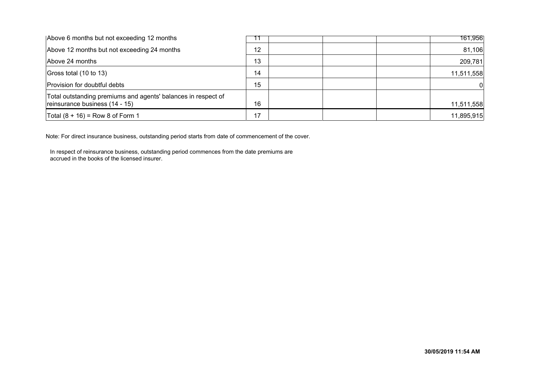| Above 6 months but not exceeding 12 months                                                      |    | 161,956    |
|-------------------------------------------------------------------------------------------------|----|------------|
| Above 12 months but not exceeding 24 months                                                     | 12 | 81,106     |
| Above 24 months                                                                                 | 13 | 209,781    |
| Gross total (10 to 13)                                                                          | 14 | 11,511,558 |
| Provision for doubtful debts                                                                    | 15 |            |
| Total outstanding premiums and agents' balances in respect of<br>reinsurance business (14 - 15) | 16 | 11,511,558 |
| Total $(8 + 16) =$ Row 8 of Form 1                                                              | 17 | 11,895,915 |

Note: For direct insurance business, outstanding period starts from date of commencement of the cover.

In respect of reinsurance business, outstanding period commences from the date premiums are accrued in the books of the licensed insurer.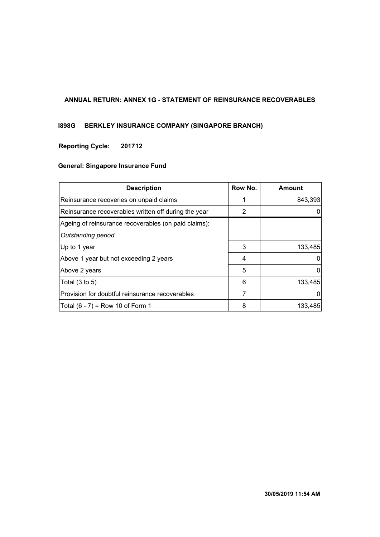## **ANNUAL RETURN: ANNEX 1G - STATEMENT OF REINSURANCE RECOVERABLES**

## **I898G BERKLEY INSURANCE COMPANY (SINGAPORE BRANCH)**

## **201712 Reporting Cycle:**

| <b>Description</b>                                   | Row No. | Amount  |
|------------------------------------------------------|---------|---------|
| Reinsurance recoveries on unpaid claims              |         | 843,393 |
| Reinsurance recoverables written off during the year | 2       |         |
| Ageing of reinsurance recoverables (on paid claims): |         |         |
| Outstanding period                                   |         |         |
| Up to 1 year                                         | 3       | 133,485 |
| Above 1 year but not exceeding 2 years               | 4       | 0       |
| Above 2 years                                        | 5       | 0       |
| Total $(3 \text{ to } 5)$                            | 6       | 133,485 |
| Provision for doubtful reinsurance recoverables      | 7       | O       |
| Total $(6 - 7)$ = Row 10 of Form 1                   | 8       | 133,485 |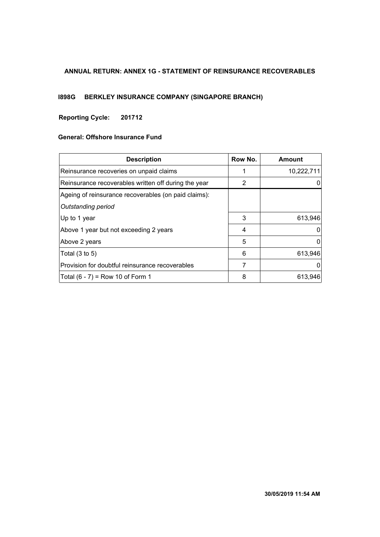#### **ANNUAL RETURN: ANNEX 1G - STATEMENT OF REINSURANCE RECOVERABLES**

# **I898G BERKLEY INSURANCE COMPANY (SINGAPORE BRANCH)**

## **201712 Reporting Cycle:**

| <b>Description</b>                                   | Row No. | Amount     |
|------------------------------------------------------|---------|------------|
| Reinsurance recoveries on unpaid claims              |         | 10,222,711 |
| Reinsurance recoverables written off during the year | 2       |            |
| Ageing of reinsurance recoverables (on paid claims): |         |            |
| Outstanding period                                   |         |            |
| Up to 1 year                                         | 3       | 613,946    |
| Above 1 year but not exceeding 2 years               | 4       |            |
| Above 2 years                                        | 5       |            |
| Total $(3 \text{ to } 5)$                            | 6       | 613,946    |
| Provision for doubtful reinsurance recoverables      | 7       |            |
| Total $(6 - 7) = Row 10$ of Form 1                   | 8       | 613,946    |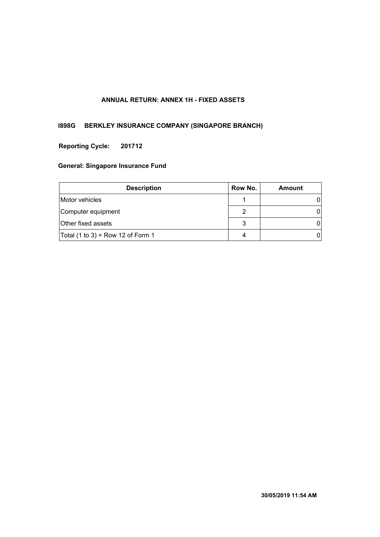## **ANNUAL RETURN: ANNEX 1H - FIXED ASSETS**

## **I898G BERKLEY INSURANCE COMPANY (SINGAPORE BRANCH)**

#### **201712 Reporting Cycle:**

| <b>Description</b>                | Row No. | Amount |
|-----------------------------------|---------|--------|
| Motor vehicles                    |         |        |
| Computer equipment                |         |        |
| Other fixed assets                | 3       |        |
| Total (1 to 3) = Row 12 of Form 1 | 4       |        |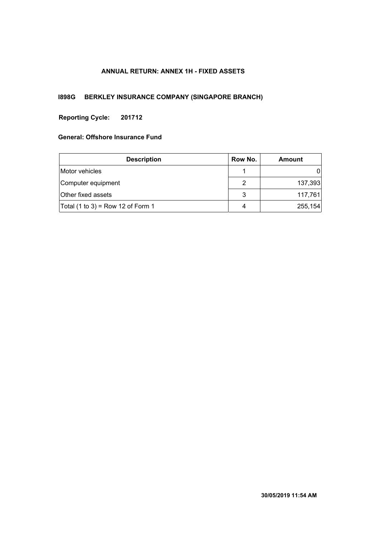## **ANNUAL RETURN: ANNEX 1H - FIXED ASSETS**

# **I898G BERKLEY INSURANCE COMPANY (SINGAPORE BRANCH)**

## **201712 Reporting Cycle:**

| <b>Description</b>                | Row No. | Amount  |
|-----------------------------------|---------|---------|
| Motor vehicles                    |         |         |
| Computer equipment                | 2       | 137,393 |
| Other fixed assets                | 3       | 117,761 |
| Total (1 to 3) = Row 12 of Form 1 | 4       | 255,154 |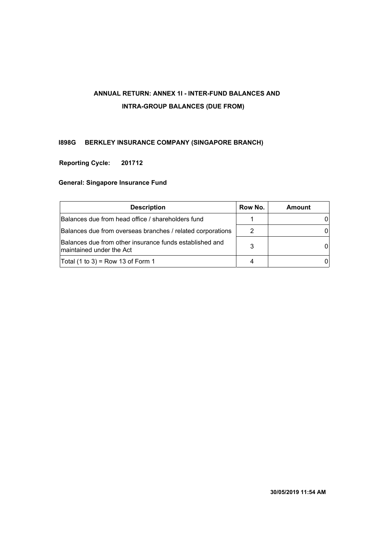# **ANNUAL RETURN: ANNEX 1I - INTER-FUND BALANCES AND INTRA-GROUP BALANCES (DUE FROM)**

## **I898G BERKLEY INSURANCE COMPANY (SINGAPORE BRANCH)**

## **201712 Reporting Cycle:**

| <b>Description</b>                                                                  | Row No. | Amount |
|-------------------------------------------------------------------------------------|---------|--------|
| Balances due from head office / shareholders fund                                   |         |        |
| Balances due from overseas branches / related corporations                          |         |        |
| Balances due from other insurance funds established and<br>maintained under the Act | 3       |        |
| Total $(1 to 3)$ = Row 13 of Form 1                                                 |         |        |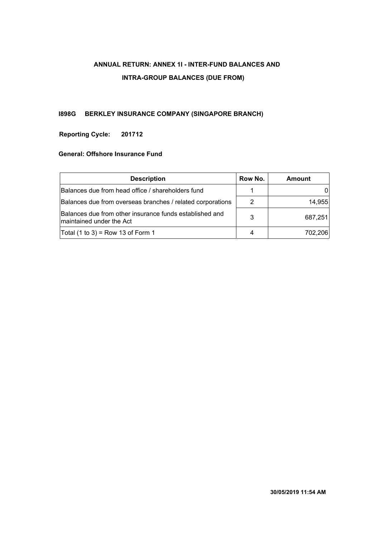# **ANNUAL RETURN: ANNEX 1I - INTER-FUND BALANCES AND INTRA-GROUP BALANCES (DUE FROM)**

## **I898G BERKLEY INSURANCE COMPANY (SINGAPORE BRANCH)**

## **201712 Reporting Cycle:**

| <b>Description</b>                                                                  | Row No. | Amount  |
|-------------------------------------------------------------------------------------|---------|---------|
| Balances due from head office / shareholders fund                                   |         |         |
| Balances due from overseas branches / related corporations                          |         | 14,955  |
| Balances due from other insurance funds established and<br>maintained under the Act | 3       | 687,251 |
| Total (1 to 3) = Row 13 of Form 1                                                   |         | 702.206 |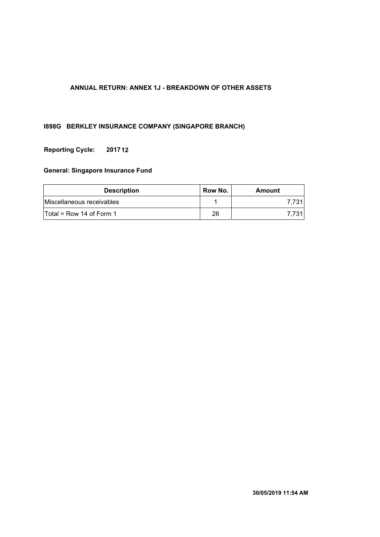## **ANNUAL RETURN: ANNEX 1J - BREAKDOWN OF OTHER ASSETS**

## **I898G BERKLEY INSURANCE COMPANY (SINGAPORE BRANCH)**

## **201712 Reporting Cycle:**

| <b>Description</b>         | Row No. | Amount |
|----------------------------|---------|--------|
| Miscellaneous receivables  |         | 7.731  |
| $Total = Row 14$ of Form 1 | 26      | 7.731  |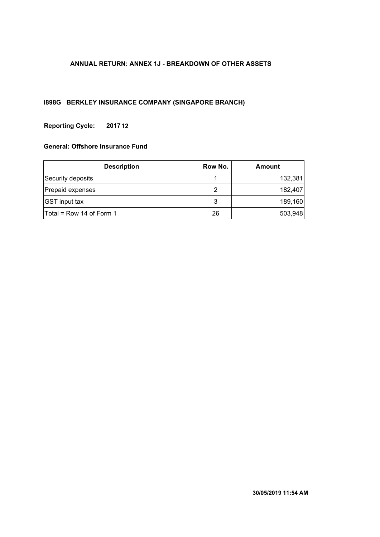## **ANNUAL RETURN: ANNEX 1J - BREAKDOWN OF OTHER ASSETS**

## **I898G BERKLEY INSURANCE COMPANY (SINGAPORE BRANCH)**

## **201712 Reporting Cycle:**

| <b>Description</b>         | Row No. | <b>Amount</b> |
|----------------------------|---------|---------------|
| Security deposits          |         | 132,381       |
| Prepaid expenses           | 2       | 182,407       |
| <b>GST</b> input tax       | 3       | 189,160       |
| $Total = Row 14 of Form 1$ | 26      | 503,948       |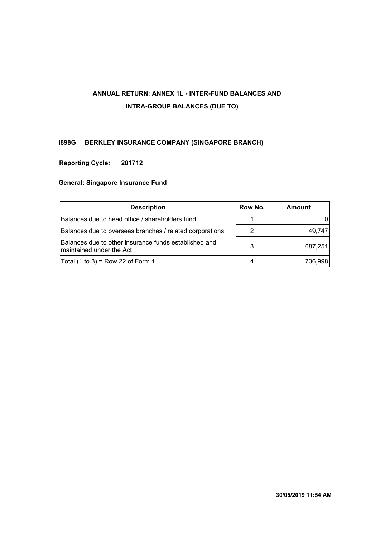# **ANNUAL RETURN: ANNEX 1L - INTER-FUND BALANCES AND INTRA-GROUP BALANCES (DUE TO)**

## **I898G BERKLEY INSURANCE COMPANY (SINGAPORE BRANCH)**

## **201712 Reporting Cycle:**

| <b>Description</b><br>Row No.                                                      |   | <b>Amount</b> |
|------------------------------------------------------------------------------------|---|---------------|
| Balances due to head office / shareholders fund                                    |   |               |
| Balances due to overseas branches / related corporations                           |   | 49,747        |
| Balances due to other insurance funds established and<br>Imaintained under the Act | 3 | 687,251       |
| Total (1 to 3) = Row 22 of Form 1                                                  |   | 736,998       |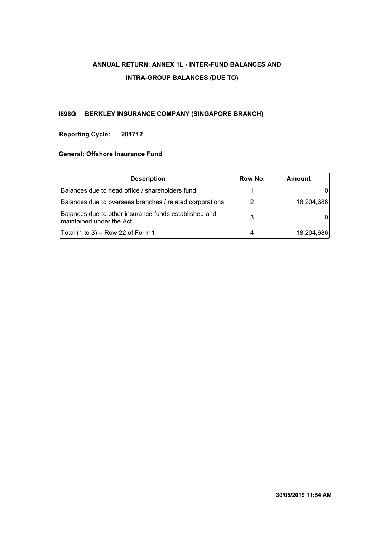# **ANNUAL RETURN: ANNEX 1L - INTER-FUND BALANCES AND INTRA-GROUP BALANCES (DUE TO)**

## **I898G BERKLEY INSURANCE COMPANY (SINGAPORE BRANCH)**

## **201712 Reporting Cycle:**

| Row No.<br><b>Description</b>                                                      |  | Amount     |
|------------------------------------------------------------------------------------|--|------------|
| Balances due to head office / shareholders fund                                    |  |            |
| Balances due to overseas branches / related corporations                           |  | 18,204,686 |
| Balances due to other insurance funds established and<br>Imaintained under the Act |  |            |
| Total (1 to 3) = Row 22 of Form 1                                                  |  | 18,204,686 |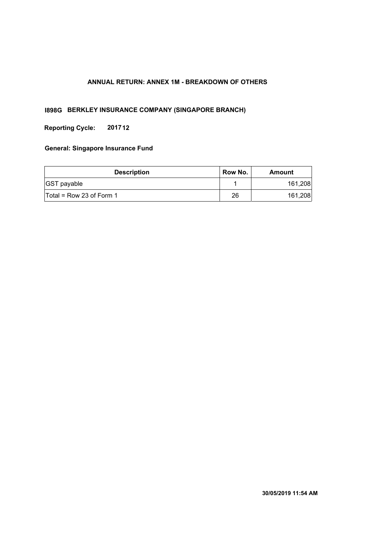## **ANNUAL RETURN: ANNEX 1M - BREAKDOWN OF OTHERS**

## **I898G BERKLEY INSURANCE COMPANY (SINGAPORE BRANCH)**

**Reporting Cycle: 201712**

| <b>Description</b>                  | Row No. | Amount  |
|-------------------------------------|---------|---------|
| <b>GST</b> payable                  |         | 161,208 |
| $\textsf{Total}$ = Row 23 of Form 1 | 26      | 161,208 |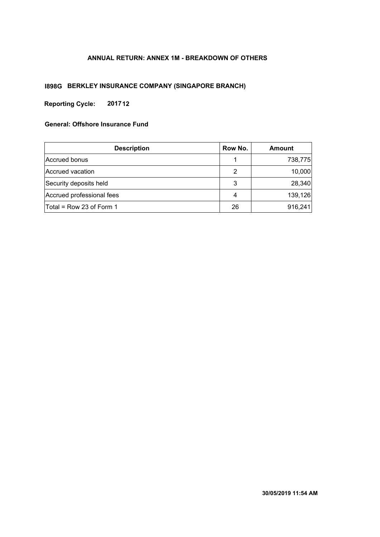## **ANNUAL RETURN: ANNEX 1M - BREAKDOWN OF OTHERS**

## **I898G BERKLEY INSURANCE COMPANY (SINGAPORE BRANCH)**

**Reporting Cycle: 201712**

| <b>Description</b>         | Row No. | <b>Amount</b> |
|----------------------------|---------|---------------|
| Accrued bonus              |         | 738,775       |
| Accrued vacation           | 2       | 10,000        |
| Security deposits held     | 3       | 28,340        |
| Accrued professional fees  | 4       | 139,126       |
| $Total = Row 23 of Form 1$ | 26      | 916,241       |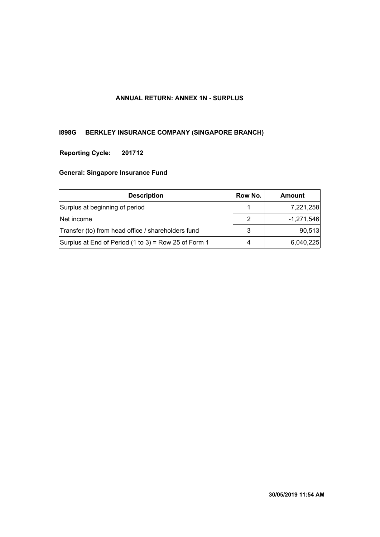## **ANNUAL RETURN: ANNEX 1N - SURPLUS**

# **I898G BERKLEY INSURANCE COMPANY (SINGAPORE BRANCH)**

## **201712 Reporting Cycle:**

| <b>Description</b>                                     | Row No. | Amount       |
|--------------------------------------------------------|---------|--------------|
| Surplus at beginning of period                         |         | 7,221,258    |
| Net income                                             |         | $-1,271,546$ |
| Transfer (to) from head office / shareholders fund     | 3       | 90,513       |
| Surplus at End of Period $(1 to 3)$ = Row 25 of Form 1 | 4       | 6,040,225    |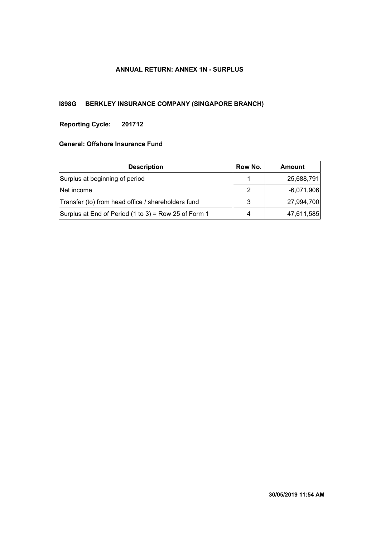## **ANNUAL RETURN: ANNEX 1N - SURPLUS**

# **I898G BERKLEY INSURANCE COMPANY (SINGAPORE BRANCH)**

#### **201712 Reporting Cycle:**

| <b>Description</b>                                   |   | Amount       |
|------------------------------------------------------|---|--------------|
| Surplus at beginning of period                       |   | 25,688,791   |
| Net income                                           |   | $-6,071,906$ |
| Transfer (to) from head office / shareholders fund   |   | 27,994,700   |
| Surplus at End of Period (1 to 3) = Row 25 of Form 1 | 4 | 47,611,585   |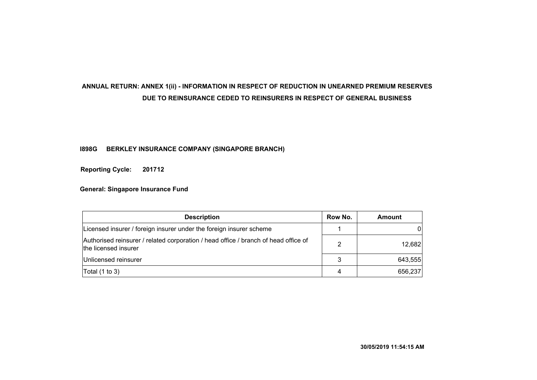# **ANNUAL RETURN: ANNEX 1(ii) - INFORMATION IN RESPECT OF REDUCTION IN UNEARNED PREMIUM RESERVES DUE TO REINSURANCE CEDED TO REINSURERS IN RESPECT OF GENERAL BUSINESS**

## **I898G BERKLEY INSURANCE COMPANY (SINGAPORE BRANCH)**

**201712 Reporting Cycle:**

| <b>Description</b>                                                                                          |   | Amount  |
|-------------------------------------------------------------------------------------------------------------|---|---------|
| Licensed insurer / foreign insurer under the foreign insurer scheme                                         |   | 01      |
| Authorised reinsurer / related corporation / head office / branch of head office of<br>the licensed insurer | 2 | 12,682  |
| Unlicensed reinsurer                                                                                        | 3 | 643,555 |
| Total $(1 to 3)$                                                                                            | 4 | 656,237 |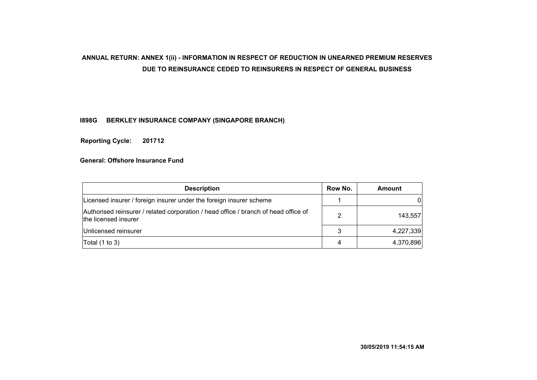# **ANNUAL RETURN: ANNEX 1(ii) - INFORMATION IN RESPECT OF REDUCTION IN UNEARNED PREMIUM RESERVES DUE TO REINSURANCE CEDED TO REINSURERS IN RESPECT OF GENERAL BUSINESS**

## **I898G BERKLEY INSURANCE COMPANY (SINGAPORE BRANCH)**

**201712 Reporting Cycle:**

| <b>Description</b>                                                                                          |   | Amount    |
|-------------------------------------------------------------------------------------------------------------|---|-----------|
| Licensed insurer / foreign insurer under the foreign insurer scheme                                         |   |           |
| Authorised reinsurer / related corporation / head office / branch of head office of<br>the licensed insurer | 2 | 143,557   |
| Unlicensed reinsurer                                                                                        | 3 | 4,227,339 |
| Total $(1 to 3)$                                                                                            | 4 | 4,370,896 |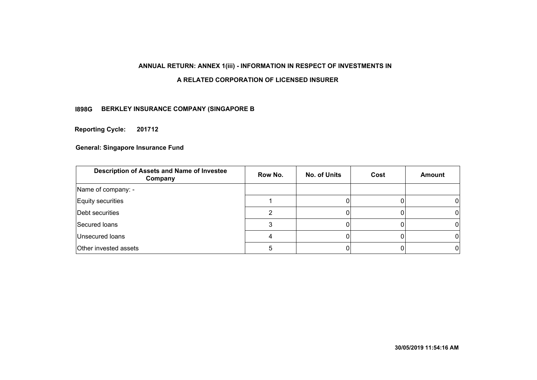## **ANNUAL RETURN: ANNEX 1(iii) - INFORMATION IN RESPECT OF INVESTMENTS IN**

#### **A RELATED CORPORATION OF LICENSED INSURER**

## **BERKLEY INSURANCE COMPANY (SINGAPORE B I898G**

**Reporting Cycle: 201712**

| Description of Assets and Name of Investee<br>Company | Row No. | <b>No. of Units</b> | Cost | <b>Amount</b> |
|-------------------------------------------------------|---------|---------------------|------|---------------|
| Name of company: -                                    |         |                     |      |               |
| Equity securities                                     |         |                     |      |               |
| Debt securities                                       |         |                     |      |               |
| Secured loans                                         |         |                     |      |               |
| Unsecured loans                                       |         |                     |      |               |
| Other invested assets                                 |         |                     |      |               |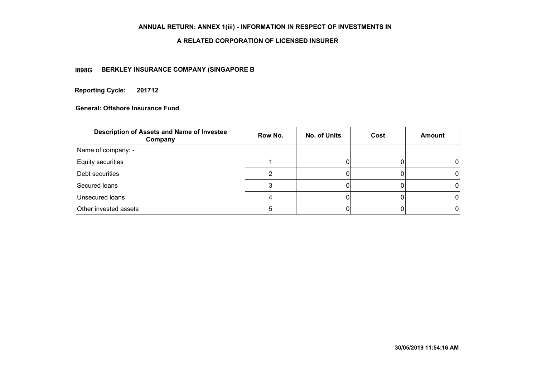## **ANNUAL RETURN: ANNEX 1(iii) - INFORMATION IN RESPECT OF INVESTMENTS IN**

#### **A RELATED CORPORATION OF LICENSED INSURER**

## **BERKLEY INSURANCE COMPANY (SINGAPORE B I898G**

**Reporting Cycle: 201712**

| Description of Assets and Name of Investee<br>Company | Row No. | <b>No. of Units</b> | Cost | <b>Amount</b> |
|-------------------------------------------------------|---------|---------------------|------|---------------|
| Name of company: -                                    |         |                     |      |               |
| Equity securities                                     |         |                     |      |               |
| Debt securities                                       |         |                     |      |               |
| Secured loans                                         |         |                     |      |               |
| Unsecured loans                                       |         |                     |      |               |
| Other invested assets                                 |         |                     |      |               |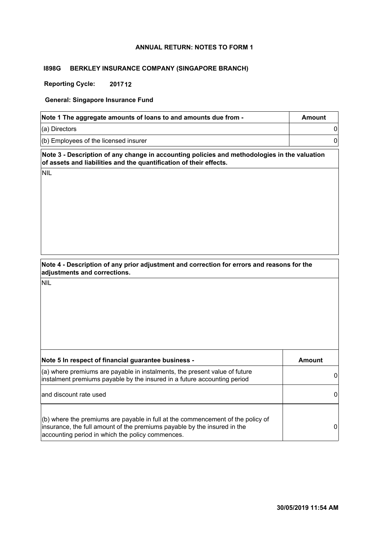#### **ANNUAL RETURN: NOTES TO FORM 1**

#### **I898G BERKLEY INSURANCE COMPANY (SINGAPORE BRANCH)**

**Reporting Cycle: 201712**

**General: Singapore Insurance Fund**

| Note 1 The aggregate amounts of loans to and amounts due from - | Amount |
|-----------------------------------------------------------------|--------|
| $(a)$ Directors                                                 |        |
| $($ b) Employees of the licensed insurer                        |        |

**Note 3 - Description of any change in accounting policies and methodologies in the valuation of assets and liabilities and the quantification of their effects.**

NIL

| Note 4 - Description of any prior adjustment and correction for errors and reasons for the |
|--------------------------------------------------------------------------------------------|
| adjustments and corrections.                                                               |

| Note 5 In respect of financial guarantee business -                                                                                                                                                               | Amount |
|-------------------------------------------------------------------------------------------------------------------------------------------------------------------------------------------------------------------|--------|
| (a) where premiums are payable in instalments, the present value of future<br>instalment premiums payable by the insured in a future accounting period                                                            |        |
| and discount rate used                                                                                                                                                                                            |        |
| $(6)$ where the premiums are payable in full at the commencement of the policy of<br>insurance, the full amount of the premiums payable by the insured in the<br>accounting period in which the policy commences. | 0      |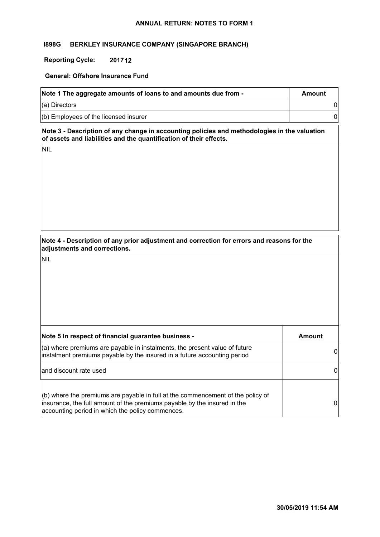#### **ANNUAL RETURN: NOTES TO FORM 1**

#### **I898G BERKLEY INSURANCE COMPANY (SINGAPORE BRANCH)**

# **Reporting Cycle: 201712**

#### **General: Offshore Insurance Fund**

| Note 1 The aggregate amounts of loans to and amounts due from - | Amount |
|-----------------------------------------------------------------|--------|
| $(a)$ Directors                                                 |        |
| $($ b) Employees of the licensed insurer                        |        |

**Note 3 - Description of any change in accounting policies and methodologies in the valuation of assets and liabilities and the quantification of their effects.**

NIL

**Note 4 - Description of any prior adjustment and correction for errors and reasons for the adjustments and corrections.**

| Note 5 In respect of financial guarantee business -                                                                                                                                                             | Amount |
|-----------------------------------------------------------------------------------------------------------------------------------------------------------------------------------------------------------------|--------|
| (a) where premiums are payable in instalments, the present value of future<br>instalment premiums payable by the insured in a future accounting period                                                          |        |
| and discount rate used                                                                                                                                                                                          |        |
| (b) where the premiums are payable in full at the commencement of the policy of<br>insurance, the full amount of the premiums payable by the insured in the<br>accounting period in which the policy commences. |        |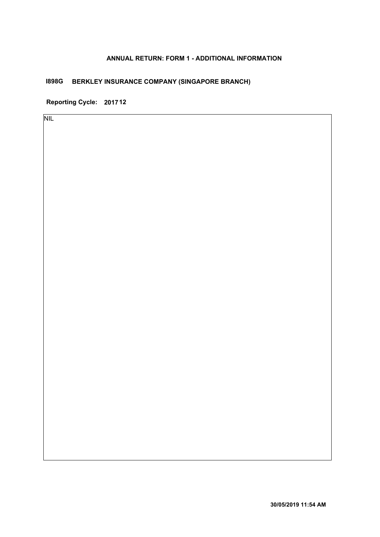# **ANNUAL RETURN: FORM 1 - ADDITIONAL INFORMATION**

# **I898G BERKLEY INSURANCE COMPANY (SINGAPORE BRANCH)**

**Reporting Cycle: 201712**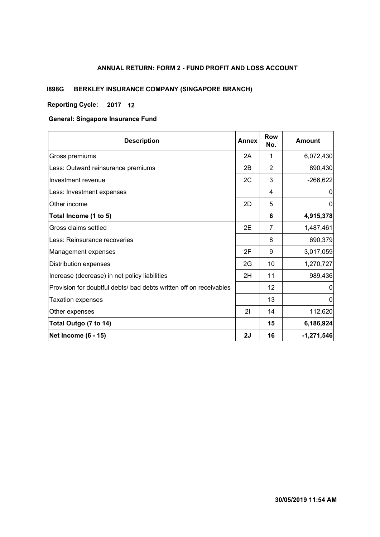# **ANNUAL RETURN: FORM 2 - FUND PROFIT AND LOSS ACCOUNT**

# **I898G BERKLEY INSURANCE COMPANY (SINGAPORE BRANCH)**

# **Reporting Cycle: 12 2017**

#### **General: Singapore Insurance Fund**

| <b>Description</b>                                                 | <b>Annex</b> | <b>Row</b><br>No. | <b>Amount</b> |
|--------------------------------------------------------------------|--------------|-------------------|---------------|
| Gross premiums                                                     | 2A           | 1                 | 6,072,430     |
| Less: Outward reinsurance premiums                                 | 2B           | $\overline{2}$    | 890,430       |
| Investment revenue                                                 | 2C           | 3                 | $-266,622$    |
| Less: Investment expenses                                          |              | 4                 | 0             |
| Other income                                                       | 2D           | 5                 | $\mathbf{0}$  |
| Total Income (1 to 5)                                              |              | 6                 | 4,915,378     |
| Gross claims settled                                               | 2E           | 7                 | 1,487,461     |
| Less: Reinsurance recoveries                                       |              | 8                 | 690,379       |
| Management expenses                                                | 2F           | 9                 | 3,017,059     |
| Distribution expenses                                              | 2G           | 10                | 1,270,727     |
| Increase (decrease) in net policy liabilities                      | 2H           | 11                | 989,436       |
| Provision for doubtful debts/ bad debts written off on receivables |              | 12                | 0             |
| <b>Taxation expenses</b>                                           |              | 13                | 0             |
| Other expenses                                                     | 21           | 14                | 112,620       |
| Total Outgo (7 to 14)                                              |              | 15                | 6,186,924     |
| <b>Net Income (6 - 15)</b>                                         | 2J           | 16                | $-1,271,546$  |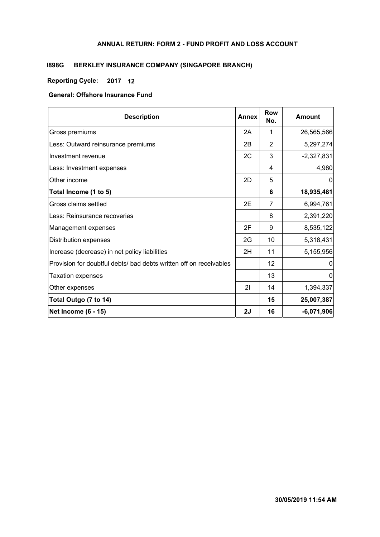### **ANNUAL RETURN: FORM 2 - FUND PROFIT AND LOSS ACCOUNT**

# **I898G BERKLEY INSURANCE COMPANY (SINGAPORE BRANCH)**

# **Reporting Cycle: 12 2017**

# **General: Offshore Insurance Fund**

| <b>Description</b>                                                 | <b>Annex</b> | <b>Row</b><br>No. | <b>Amount</b> |
|--------------------------------------------------------------------|--------------|-------------------|---------------|
| Gross premiums                                                     | 2A           | 1                 | 26,565,566    |
| Less: Outward reinsurance premiums                                 | 2B           | 2                 | 5,297,274     |
| Investment revenue                                                 | 2C           | 3                 | $-2,327,831$  |
| Less: Investment expenses                                          |              | 4                 | 4,980         |
| Other income                                                       | 2D           | 5                 | 0             |
| Total Income (1 to 5)                                              |              | 6                 | 18,935,481    |
| Gross claims settled                                               | 2E           | 7                 | 6,994,761     |
| Less: Reinsurance recoveries                                       |              | 8                 | 2,391,220     |
| Management expenses                                                | 2F           | 9                 | 8,535,122     |
| Distribution expenses                                              | 2G           | 10                | 5,318,431     |
| Increase (decrease) in net policy liabilities                      | 2H           | 11                | 5,155,956     |
| Provision for doubtful debts/ bad debts written off on receivables |              | 12                | 0             |
| <b>Taxation expenses</b>                                           |              | 13                | 0             |
| Other expenses                                                     | 21           | 14                | 1,394,337     |
| Total Outgo (7 to 14)                                              |              | 15                | 25,007,387    |
| <b>Net Income (6 - 15)</b>                                         | 2J           | 16                | $-6,071,906$  |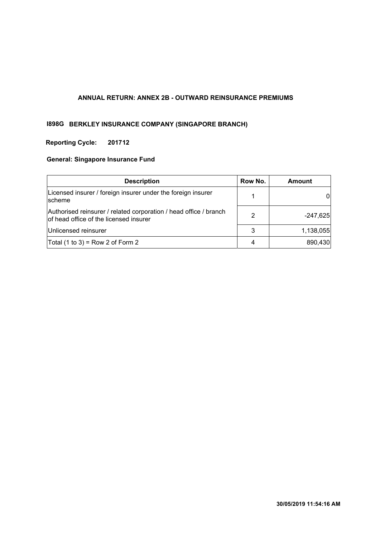#### **ANNUAL RETURN: ANNEX 2B - OUTWARD REINSURANCE PREMIUMS**

# **I898G BERKLEY INSURANCE COMPANY (SINGAPORE BRANCH)**

# **Reporting Cycle: 201712**

# **General: Singapore Insurance Fund**

| <b>Description</b>                                                                                          | Row No. | <b>Amount</b> |
|-------------------------------------------------------------------------------------------------------------|---------|---------------|
| Licensed insurer / foreign insurer under the foreign insurer<br>scheme                                      |         |               |
| Authorised reinsurer / related corporation / head office / branch<br>of head office of the licensed insurer | 2       | $-247,625$    |
| Unlicensed reinsurer                                                                                        | 3       | 1,138,055     |
| Total $(1 to 3)$ = Row 2 of Form 2                                                                          | 4       | 890,430       |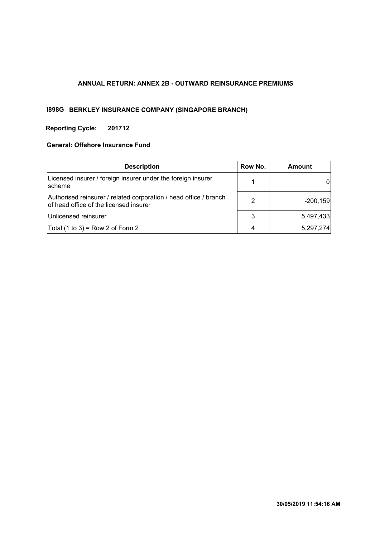# **ANNUAL RETURN: ANNEX 2B - OUTWARD REINSURANCE PREMIUMS**

# **I898G BERKLEY INSURANCE COMPANY (SINGAPORE BRANCH)**

# **Reporting Cycle: 201712**

#### **General: Offshore Insurance Fund**

| <b>Description</b>                                                                                          | Row No. | <b>Amount</b> |
|-------------------------------------------------------------------------------------------------------------|---------|---------------|
| Licensed insurer / foreign insurer under the foreign insurer<br><b>Ischeme</b>                              |         |               |
| Authorised reinsurer / related corporation / head office / branch<br>of head office of the licensed insurer | 2       | $-200,159$    |
| Unlicensed reinsurer                                                                                        | 3       | 5,497,433     |
| Total $(1 to 3)$ = Row 2 of Form 2                                                                          | 4       | 5,297,274     |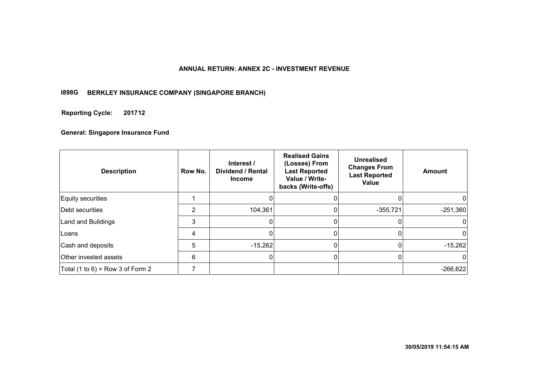#### **ANNUAL RETURN: ANNEX 2C - INVESTMENT REVENUE**

#### **I898G BERKLEY INSURANCE COMPANY (SINGAPORE BRANCH)**

#### **201712 Reporting Cycle:**

#### **General: Singapore Insurance Fund**

| <b>Description</b>               | Row No. | Interest /<br><b>Dividend / Rental</b><br><b>Income</b> | <b>Realised Gains</b><br>(Losses) From<br><b>Last Reported</b><br>Value / Write-<br>backs (Write-offs) | <b>Unrealised</b><br><b>Changes From</b><br><b>Last Reported</b><br>Value | <b>Amount</b> |
|----------------------------------|---------|---------------------------------------------------------|--------------------------------------------------------------------------------------------------------|---------------------------------------------------------------------------|---------------|
| Equity securities                |         |                                                         |                                                                                                        |                                                                           |               |
| Debt securities                  | 2       | 104,361                                                 |                                                                                                        | $-355,721$                                                                | $-251,360$    |
| Land and Buildings               | 3       | 0                                                       |                                                                                                        |                                                                           |               |
| lLoans                           | 4       | 0                                                       |                                                                                                        | 0                                                                         | O             |
| Cash and deposits                | 5       | $-15,262$                                               |                                                                                                        |                                                                           | $-15,262$     |
| <b>Other invested assets</b>     | 6       | $\Omega$                                                | n                                                                                                      | 0                                                                         |               |
| Total (1 to 6) = Row 3 of Form 2 |         |                                                         |                                                                                                        |                                                                           | $-266,622$    |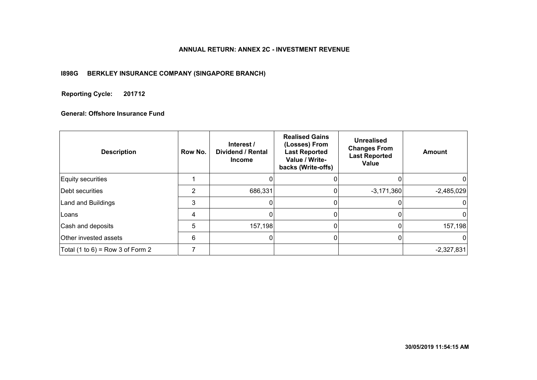#### **ANNUAL RETURN: ANNEX 2C - INVESTMENT REVENUE**

#### **I898G BERKLEY INSURANCE COMPANY (SINGAPORE BRANCH)**

#### **201712 Reporting Cycle:**

# **General: Offshore Insurance Fund**

| <b>Description</b>               | Row No. | Interest /<br><b>Dividend / Rental</b><br><b>Income</b> | <b>Realised Gains</b><br>(Losses) From<br><b>Last Reported</b><br>Value / Write-<br>backs (Write-offs) | <b>Unrealised</b><br><b>Changes From</b><br><b>Last Reported</b><br>Value | <b>Amount</b> |
|----------------------------------|---------|---------------------------------------------------------|--------------------------------------------------------------------------------------------------------|---------------------------------------------------------------------------|---------------|
| Equity securities                |         |                                                         |                                                                                                        |                                                                           |               |
| Debt securities                  | 2       | 686,331                                                 |                                                                                                        | $-3,171,360$                                                              | $-2,485,029$  |
| Land and Buildings               | 3       |                                                         |                                                                                                        |                                                                           |               |
| <b>Loans</b>                     | 4       |                                                         |                                                                                                        |                                                                           | $^{(1)}$      |
| Cash and deposits                | 5       | 157,198                                                 |                                                                                                        |                                                                           | 157,198       |
| Other invested assets            | 6       |                                                         |                                                                                                        |                                                                           | $^{(1)}$      |
| Total (1 to 6) = Row 3 of Form 2 |         |                                                         |                                                                                                        |                                                                           | $-2,327,831$  |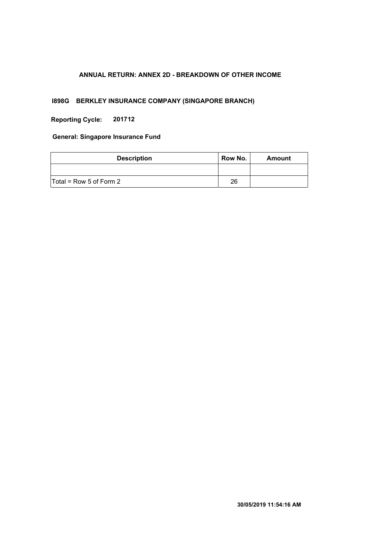# **ANNUAL RETURN: ANNEX 2D - BREAKDOWN OF OTHER INCOME**

# **I898G BERKLEY INSURANCE COMPANY (SINGAPORE BRANCH)**

**Reporting Cycle: 201712**

**General: Singapore Insurance Fund**

| <b>Description</b>        | Row No. | Amount |
|---------------------------|---------|--------|
|                           |         |        |
| $Total = Row 5 of Form 2$ | 26      |        |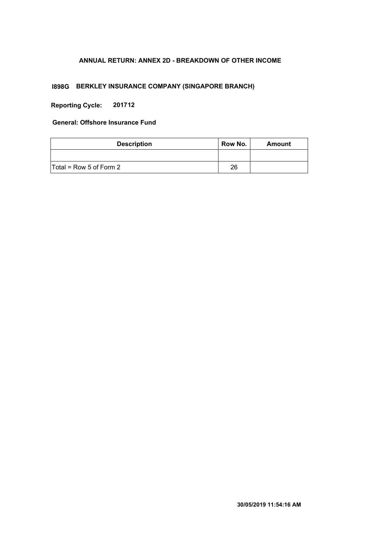# **ANNUAL RETURN: ANNEX 2D - BREAKDOWN OF OTHER INCOME**

# **I898G BERKLEY INSURANCE COMPANY (SINGAPORE BRANCH)**

**Reporting Cycle: 201712**

# **General: Offshore Insurance Fund**

| <b>Description</b>        | Row No. | Amount |
|---------------------------|---------|--------|
|                           |         |        |
| $Total = Row 5 of Form 2$ | 26      |        |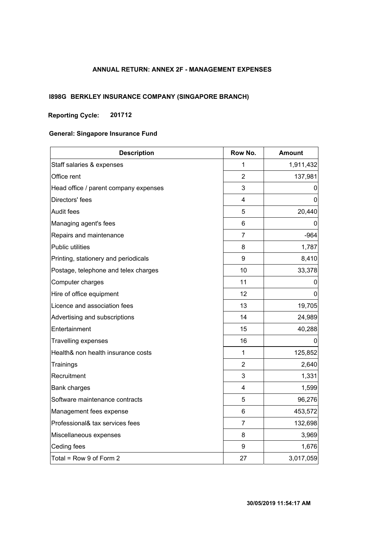# **ANNUAL RETURN: ANNEX 2F - MANAGEMENT EXPENSES**

# **I898G BERKLEY INSURANCE COMPANY (SINGAPORE BRANCH)**

# **Reporting Cycle: 201712**

# **General: Singapore Insurance Fund**

| <b>Description</b>                    | Row No.        | <b>Amount</b> |  |  |
|---------------------------------------|----------------|---------------|--|--|
| Staff salaries & expenses             | 1              | 1,911,432     |  |  |
| Office rent                           | $\overline{2}$ | 137,981       |  |  |
| Head office / parent company expenses | 3              | 0             |  |  |
| Directors' fees                       | 4              | 0             |  |  |
| Audit fees                            | 5              | 20,440        |  |  |
| Managing agent's fees                 | 6              | 0             |  |  |
| Repairs and maintenance               | $\overline{7}$ | $-964$        |  |  |
| Public utilities                      | 8              | 1,787         |  |  |
| Printing, stationery and periodicals  | 9              | 8,410         |  |  |
| Postage, telephone and telex charges  | 10             | 33,378        |  |  |
| Computer charges                      | 11             | 0             |  |  |
| Hire of office equipment              | 12             | 0             |  |  |
| Licence and association fees          | 13             | 19,705        |  |  |
| Advertising and subscriptions         | 14             | 24,989        |  |  |
| Entertainment                         | 15             | 40,288        |  |  |
| <b>Travelling expenses</b>            | 16             | 0             |  |  |
| Health& non health insurance costs    | $\mathbf{1}$   | 125,852       |  |  |
| Trainings                             | $\overline{2}$ | 2,640         |  |  |
| Recruitment                           | 3              | 1,331         |  |  |
| <b>Bank charges</b>                   | 4              | 1,599         |  |  |
| Software maintenance contracts        | 5              | 96,276        |  |  |
| Management fees expense               | 6              | 453,572       |  |  |
| Professional& tax services fees       | $\overline{7}$ | 132,698       |  |  |
| Miscellaneous expenses                | 8              | 3,969         |  |  |
| Ceding fees                           | 9              | 1,676         |  |  |
| Total = Row 9 of Form 2               | 27             | 3,017,059     |  |  |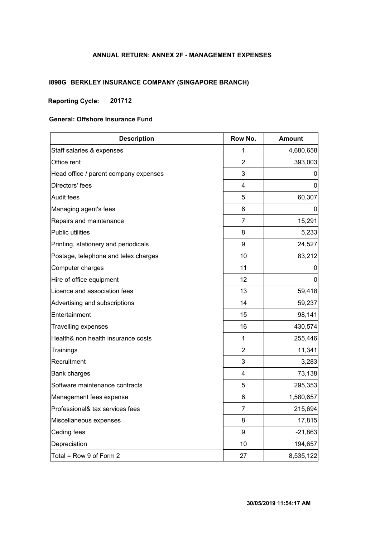# **ANNUAL RETURN: ANNEX 2F - MANAGEMENT EXPENSES**

# **I898G BERKLEY INSURANCE COMPANY (SINGAPORE BRANCH)**

# **Reporting Cycle: 201712**

#### **General: Offshore Insurance Fund**

| <b>Description</b>                    | Row No.        | <b>Amount</b> |
|---------------------------------------|----------------|---------------|
| Staff salaries & expenses             | 1              | 4,680,658     |
| Office rent                           | 2              | 393,003       |
| Head office / parent company expenses | 3              | 0             |
| Directors' fees                       | 4              | 0             |
| <b>Audit fees</b>                     | 5              | 60,307        |
| Managing agent's fees                 | 6              | 0             |
| Repairs and maintenance               | 7              | 15,291        |
| Public utilities                      | 8              | 5,233         |
| Printing, stationery and periodicals  | 9              | 24,527        |
| Postage, telephone and telex charges  | 10             | 83,212        |
| Computer charges                      | 11             | 0             |
| Hire of office equipment              | 12             | 0             |
| Licence and association fees          | 13             | 59,418        |
| Advertising and subscriptions         | 14             | 59,237        |
| Entertainment                         | 15             | 98,141        |
| <b>Travelling expenses</b>            | 16             | 430,574       |
| Health& non health insurance costs    | $\mathbf 1$    | 255,446       |
| Trainings                             | $\overline{2}$ | 11,341        |
| Recruitment                           | 3              | 3,283         |
| <b>Bank charges</b>                   | $\overline{4}$ | 73,138        |
| Software maintenance contracts        | 5              | 295,353       |
| Management fees expense               | 6              | 1,580,657     |
| Professional& tax services fees       | $\overline{7}$ | 215,694       |
| Miscellaneous expenses                | 8              | 17,815        |
| Ceding fees                           | 9              | $-21,863$     |
| Depreciation                          | 10             | 194,657       |
| Total = Row 9 of Form 2               | 27             | 8,535,122     |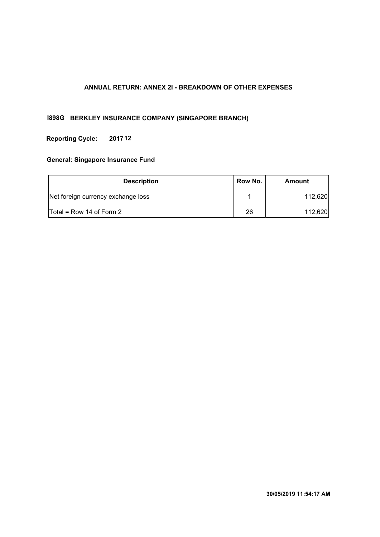# **ANNUAL RETURN: ANNEX 2I - BREAKDOWN OF OTHER EXPENSES**

### **I898G BERKLEY INSURANCE COMPANY (SINGAPORE BRANCH)**

#### **Reporting Cycle: 201712**

#### **General: Singapore Insurance Fund**

| <b>Description</b>                  | Row No. | Amount  |
|-------------------------------------|---------|---------|
| Net foreign currency exchange loss  |         | 112,620 |
| $\textsf{Total}$ = Row 14 of Form 2 | 26      | 112.620 |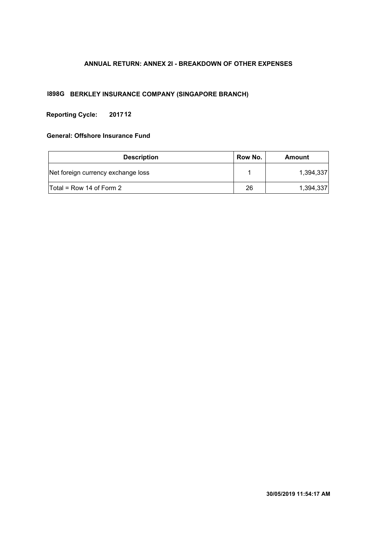### **ANNUAL RETURN: ANNEX 2I - BREAKDOWN OF OTHER EXPENSES**

### **I898G BERKLEY INSURANCE COMPANY (SINGAPORE BRANCH)**

#### **Reporting Cycle: 201712**

# **General: Offshore Insurance Fund**

| <b>Description</b>                  | Row No. | Amount    |  |  |  |
|-------------------------------------|---------|-----------|--|--|--|
| Net foreign currency exchange loss  |         | 1,394,337 |  |  |  |
| $\mathsf{Total}$ = Row 14 of Form 2 | 26      | 1,394,337 |  |  |  |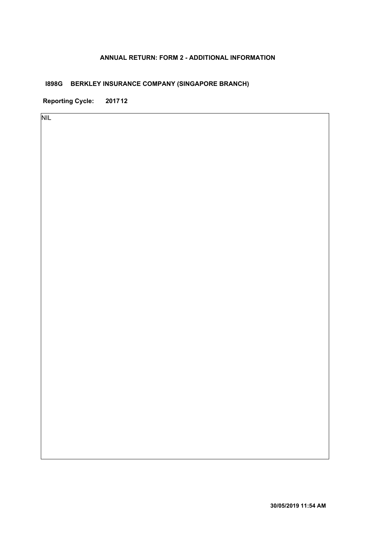### **ANNUAL RETURN: FORM 2 - ADDITIONAL INFORMATION**

# **I898G BERKLEY INSURANCE COMPANY (SINGAPORE BRANCH)**

**Reporting Cycle: 201712**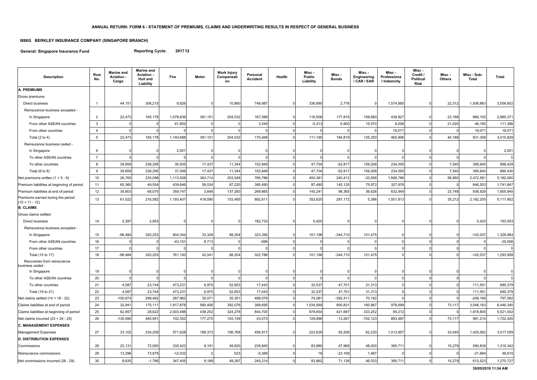**General: Singapore Insurance Fund**

# **I898G BERKLEY INSURANCE COMPANY (SINGAPORE BRANCH)**

**Reporting Cycle: 201712**

| <b>Description</b>                                    | Row<br>No.      | <b>Marine and</b><br>Aviation -<br>Cargo | <b>Marine and</b><br><b>Aviation -</b><br>Hull and<br>Liability | Fire      | <b>Motor</b> | <b>Work Injury</b><br>Compensati<br>on | Personal<br><b>Accident</b> | <b>Health</b> | Misc -<br><b>Public</b><br>Liability | Misc -<br><b>Bonds</b> | Misc -<br>Engineering<br>/ CAR / EAR | Misc -<br>Professiona<br>I Indemnity | Misc -<br>Credit /<br><b>Political</b><br><b>Risk</b> | Misc-<br><b>Others</b> | Misc - Sub-<br><b>Total</b> | <b>Total</b> |
|-------------------------------------------------------|-----------------|------------------------------------------|-----------------------------------------------------------------|-----------|--------------|----------------------------------------|-----------------------------|---------------|--------------------------------------|------------------------|--------------------------------------|--------------------------------------|-------------------------------------------------------|------------------------|-----------------------------|--------------|
| <b>A. PREMIUMS</b>                                    |                 |                                          |                                                                 |           |              |                                        |                             |               |                                      |                        |                                      |                                      |                                                       |                        |                             |              |
| Gross premiums                                        |                 |                                          |                                                                 |           |              |                                        |                             |               |                                      |                        |                                      |                                      |                                                       |                        |                             |              |
| Direct business                                       | $\mathbf{1}$    | 44,151                                   | 306,215                                                         | 9,826     |              | 10,860                                 | 748,687                     |               | 336,890                              | 2,776                  |                                      | 1,574,885                            | <sup>0</sup>                                          | 22,312                 | 1,936,863                   | 3,056,602    |
| Reinsurance business accepted -                       |                 |                                          |                                                                 |           |              |                                        |                             |               |                                      |                        |                                      |                                      |                                                       |                        |                             |              |
| In Singapore                                          | $\overline{2}$  | 22,473                                   | 165,178                                                         | 1,078,836 | 381,151      | 204,032                                | 167,599                     |               | 116,508                              | 177,919                | 109,680                              | 438,827                              | $\Omega$                                              | 23,168                 | 866,102                     | 2,885,371    |
| From other ASEAN countries                            | 3               |                                          | $\Omega$                                                        | 61,852    | <sup>0</sup> |                                        | 3,349                       |               | $-5,313$                             | 6,900                  | 15,570                               | 8,008                                | $\Omega$                                              | 21,020                 | 46,185                      | 111,386      |
| From other countries                                  | $\overline{4}$  |                                          |                                                                 |           |              |                                        |                             |               |                                      |                        |                                      | 19,071                               | $\Omega$                                              |                        | 19,071                      | 19,071       |
| Total $(2 \text{ to } 4)$                             | 5               | 22,473                                   | 165,178                                                         | 1,140,688 | 381,151      | 204,032                                | 170,948                     |               | 111,195                              | 184,819                | 125,250                              | 465,906                              | $\Omega$                                              | 44,188                 | 931,358                     | 3,015,828    |
| Reinsurance business ceded -                          |                 |                                          |                                                                 |           |              |                                        |                             |               |                                      |                        |                                      |                                      |                                                       |                        |                             |              |
| In Singapore                                          | 6               |                                          |                                                                 | 2,001     |              |                                        |                             |               |                                      |                        |                                      |                                      |                                                       |                        |                             | 2,001        |
| To other ASEAN countries                              | $\overline{7}$  |                                          |                                                                 |           |              |                                        |                             |               |                                      |                        |                                      |                                      | $\Omega$                                              |                        |                             | $\mathbf 0$  |
| To other countries                                    | 8               | 39,859                                   | 236,295                                                         | 35,005    | 17,437       | 11,344                                 | 152,849                     |               | 47,704                               | $-52,817$              | 159,208                              | 234,005                              | $\Omega$                                              | 7,540                  | 395,640                     | 888,429      |
| Total $(6 to 8)$                                      | 9               | 39,859                                   | 236,295                                                         | 37,006    | 17,437       | 11,344                                 | 152,849                     |               | 47,704                               | $-52,817$              | 159,208                              | 234,005                              | $\Omega$                                              | 7,540                  | 395,640                     | 890,430      |
| Net premiums written $(1 + 5 - 9)$                    | 10 <sup>°</sup> | 26,765                                   | 235,098                                                         | 1,113,508 | 363,714      | 203,548                                | 766,786                     |               | 400,381                              | 240,412                | $-33,958$                            | 1,806,786                            | $\Omega$                                              | 58,960                 | 2,472,581                   | 5,182,000    |
| Premium liabilities at beginning of period            | 11              | 65,360                                   | 49,554                                                          | 439,646   | 58,024       | 87,220                                 | 395,490                     |               | 97,480                               | 145,125                | 75,972                               | 327,976                              | $\Omega$                                              |                        | 646,553                     | 1,741,847    |
| Premium liabilities at end of period                  | 12              | 30,603                                   | 68,070                                                          | 359,747   | 3,648        | 137,283                                | 269,665                     |               | 145,241                              | 98,365                 | 36,626                               | 632,949                              | $\Omega$                                              | 23,748                 | 936,929                     | 1,805,945    |
| Premiums earned during the period<br>$(10 + 11 - 12)$ | 13              | 61,522                                   | 216,582                                                         | 1,193,407 | 418,090      | 153,485                                | 892,611                     |               | 352,620                              | 287,172                | 5,388                                | 1,501,813                            |                                                       | 35,212                 | 2,182,205                   | 5,117,902    |
| <b>B. CLAIMS</b>                                      |                 |                                          |                                                                 |           |              |                                        |                             |               |                                      |                        |                                      |                                      |                                                       |                        |                             |              |
| Gross claims settled                                  |                 |                                          |                                                                 |           |              |                                        |                             |               |                                      |                        |                                      |                                      |                                                       |                        |                             |              |
| Direct business                                       | 14              | 2,397                                    | 2,953                                                           |           |              |                                        | 182,733                     |               | 5,420                                |                        |                                      |                                      |                                                       |                        | 5,420                       | 193,503      |
| Reinsurance business accepted -                       |                 |                                          |                                                                 |           |              |                                        |                             |               |                                      |                        |                                      |                                      |                                                       |                        |                             |              |
| In Singapore                                          | 15              | $-98,484$                                | 320,253                                                         | 804,344   | 33,328       | 88,204                                 | 323,356                     |               | 101,198                              | $-344,710$             | 101,475                              | $\Omega$                             | $\Omega$                                              |                        | $-142,037$                  | 1,328,964    |
| From other ASEAN countries                            | 16              |                                          |                                                                 | $-43,151$ | 8,713        |                                        | $-568$                      |               |                                      |                        |                                      | $\Omega$                             | $\Omega$                                              |                        |                             | $-35,006$    |
| From other countries                                  | 17              |                                          |                                                                 |           |              |                                        |                             |               |                                      |                        |                                      | $\mathbf{0}$                         | $\Omega$                                              |                        |                             | 0            |
| Total (15 to 17)                                      | 18              | $-98,484$                                | 320,253                                                         | 761,193   | 42,041       | 88,204                                 | 322,788                     |               | 101,198                              | $-344,710$             | 101,475                              | $\Omega$                             | $\Omega$                                              |                        | $-142,037$                  | 1,293,958    |
| Recoveries from reinsurance<br>business ceded -       |                 |                                          |                                                                 |           |              |                                        |                             |               |                                      |                        |                                      |                                      |                                                       |                        |                             |              |
| In Singapore                                          | 19              | $\Omega$                                 | $\Omega$                                                        | 0         | 0            | $\Omega$                               |                             |               |                                      | 0                      | $\Omega$                             | 0                                    | $\Omega$                                              |                        |                             | 0            |
| To other ASEAN countries                              | 20              |                                          |                                                                 |           |              |                                        |                             | $\Omega$      |                                      |                        |                                      | $\mathbf 0$                          | $\Omega$                                              |                        |                             | $\mathbf 0$  |
| To other countries                                    | 21              | 4,587                                    | 23,744                                                          | 473,231   | 6,970        | 52,853                                 | 17,443                      | $\Omega$      | 32,537                               | 47,701                 | 31,313                               | $\Omega$                             |                                                       |                        | 111,551                     | 690,379      |
| Total (19 to 21)                                      | 22              | 4,587                                    | 23,744                                                          | 473,231   | 6,970        | 52,853                                 | 17,443                      |               | 32,537                               | 47,701                 | 31,313                               | $\mathbf 0$                          | $\Omega$                                              |                        | 111,551                     | 690,379      |
| Net claims settled $(14 + 18 - 22)$                   | 23              | $-100,674$                               | 299,462                                                         | 287,962   | 35,071       | 35,351                                 | 488,078                     |               | 74,081                               | $-392,411$             | 70,162                               |                                      | $\Omega$                                              |                        | $-248,168$                  | 797,082      |
| Claims liabilities at end of period                   | 24              | 32,941                                   | 175,111                                                         | 1,817,878 | 580,456      | 392,076                                | 399,695                     |               | 1,034,569                            | 800,831                | 160,967                              | 978,699                              | $\mathbf 0$                                           | 73,117                 | 3,048,183                   | 6,446,340    |
| Claims liabilities at beginning of period             | 25              | 62,857                                   | 28,622                                                          | 2,003,488 | 438,252      | 324,278                                | 844,700                     |               | 978,654                              | 421,687                | 333,252                              | 85,212                               | $\Omega$                                              |                        | 1,818,805                   | 5,521,002    |
| Net claims incurred $(23 + 24 - 25)$                  | 26              | $-130,590$                               | 445,951                                                         | 102,352   | 177,275      | 103,149                                | 43,073                      |               | 129,996                              | $-13,267$              | $-102,123$                           | 893,487                              | $\mathbf 0$                                           | 73,117                 | 981,210                     | 1,722,420    |
| <b>C. MANAGEMENT EXPENSES</b>                         |                 |                                          |                                                                 |           |              |                                        |                             |               |                                      |                        |                                      |                                      |                                                       |                        |                             |              |
| Management Expenses                                   | 27              | 33,102                                   | 234,209                                                         | 571,628   | 189,373      | 106,768                                | 456,917                     | $\Omega$      | 222,629                              | 93,206                 | 62,230                               | 1,013,957                            | $\Omega$                                              | 33,040                 | 1,425,062                   | 3,017,059    |
| <b>D. DISTRIBUTION EXPENSES</b>                       |                 |                                          |                                                                 |           |              |                                        |                             |               |                                      |                        |                                      |                                      |                                                       |                        |                             |              |
| Commissions                                           | 28              | 22,131                                   | 72,093                                                          | 335,423   | 9,191        | 49,820                                 | 239,845                     |               | 83,880                               | 47,969                 | 48,000                               | 395,711                              | $\Omega$                                              | 15,279                 | 590,839                     | 1,319,342    |
| Reinsurance commissions                               | 29              | 13,296                                   | 73,879                                                          | $-12,032$ |              | 523                                    | $-5,369$                    |               | 18 <sup>l</sup>                      | $-23,169$              | 1,467                                |                                      | <sup>0</sup>                                          |                        | $-21,684$                   | 48,615       |
| Net commissions incurred (28 - 29)                    | 30 <sup>°</sup> | 8,835                                    | $-1,786$                                                        | 347,455   | 9,189        | 49,297                                 | 245,214                     |               | 83,862                               | 71,138                 | 46,533                               | 395,711                              | $\mathbf 0$                                           | 15,279                 | 612,523                     | 1,270,727    |

**30/05/2019 11:54 AM**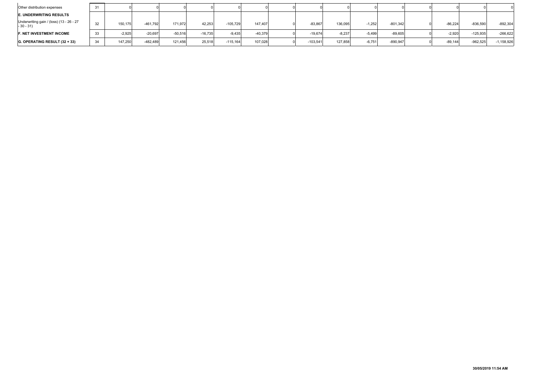| Other distribution expenses                            | 31 |          |            |           |           |            |           |           |          |          |            |           |            |              |
|--------------------------------------------------------|----|----------|------------|-----------|-----------|------------|-----------|-----------|----------|----------|------------|-----------|------------|--------------|
| <b>E. UNDERWRITING RESULTS</b>                         |    |          |            |           |           |            |           |           |          |          |            |           |            |              |
| Underwriting gain / (loss) (13 - 26 - 27<br>$-30 - 31$ | 32 | 150,175  | $-461.792$ | 171,972   | 42.253    | $-105,729$ | 147,407   | $-83,867$ | 136,095  | $-1,252$ | $-801,342$ | $-86,224$ | $-836,590$ | $-892,304$   |
| <b>F. NET INVESTMENT INCOME</b>                        | 33 | $-2,925$ | $-20,697$  | $-50,516$ | $-16,735$ | $-9,435$   | $-40,379$ | $-19,674$ | $-8,237$ | $-5,499$ | $-89,605$  | $-2,920$  | $-125,935$ | $-266,622$   |
| $ G.$ OPERATING RESULT $(32 + 33)$                     | 34 | 147,250  | $-482,489$ | 121,456   | 25,518    | $-115.164$ | 107,028   | -103,541  | 127,858  | $-6,751$ | $-890.947$ | -89.144   | $-962,525$ | $-1,158,926$ |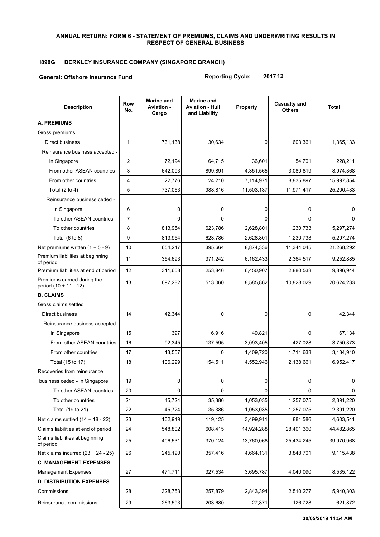#### **ANNUAL RETURN: FORM 6 - STATEMENT OF PREMIUMS, CLAIMS AND UNDERWRITING RESULTS IN RESPECT OF GENERAL BUSINESS**

# **I898G BERKLEY INSURANCE COMPANY (SINGAPORE BRANCH)**

#### **General: Offshore Insurance Fund**

**Reporting Cycle: 2017 12**

| <b>Description</b>                                  | <b>Row</b><br>No. | <b>Marine and</b><br>Aviation -<br>Cargo | <b>Marine and</b><br><b>Aviation - Hull</b><br>and Liability | <b>Property</b> | <b>Casualty and</b><br><b>Others</b> | Total      |
|-----------------------------------------------------|-------------------|------------------------------------------|--------------------------------------------------------------|-----------------|--------------------------------------|------------|
| <b>A. PREMIUMS</b>                                  |                   |                                          |                                                              |                 |                                      |            |
| Gross premiums                                      |                   |                                          |                                                              |                 |                                      |            |
| <b>Direct business</b>                              | 1                 | 731,138                                  | 30,634                                                       | 0               | 603,361                              | 1,365,133  |
| Reinsurance business accepted -                     |                   |                                          |                                                              |                 |                                      |            |
| In Singapore                                        | $\overline{2}$    | 72,194                                   | 64,715                                                       | 36,601          | 54,701                               | 228,211    |
| From other ASEAN countries                          | 3                 | 642,093                                  | 899,891                                                      | 4,351,565       | 3,080,819                            | 8,974,368  |
| From other countries                                | 4                 | 22,776                                   | 24,210                                                       | 7,114,971       | 8,835,897                            | 15,997,854 |
| Total $(2 to 4)$                                    | 5                 | 737,063                                  | 988,816                                                      | 11,503,137      | 11,971,417                           | 25,200,433 |
| Reinsurance business ceded -                        |                   |                                          |                                                              |                 |                                      |            |
| In Singapore                                        | 6                 | 0                                        | 0                                                            | 0               | 0                                    | 0          |
| To other ASEAN countries                            | $\overline{7}$    | n                                        | 0                                                            | 0               |                                      |            |
| To other countries                                  | 8                 | 813,954                                  | 623,786                                                      | 2,628,801       | 1,230,733                            | 5,297,274  |
| Total $(6 to 8)$                                    | 9                 | 813,954                                  | 623,786                                                      | 2,628,801       | 1,230,733                            | 5,297,274  |
| Net premiums written $(1 + 5 - 9)$                  | 10                | 654,247                                  | 395,664                                                      | 8,874,336       | 11,344,045                           | 21,268,292 |
| Premium liabilities at beginning<br>of period       | 11                | 354,693                                  | 371,242                                                      | 6,162,433       | 2,364,517                            | 9,252,885  |
| Premium liabilities at end of period                | 12                | 311,658                                  | 253,846                                                      | 6,450,907       | 2,880,533                            | 9,896,944  |
| Premiums earned during the<br>period (10 + 11 - 12) | 13                | 697,282                                  | 513,060                                                      | 8,585,862       | 10,828,029                           | 20,624,233 |
| <b>B. CLAIMS</b>                                    |                   |                                          |                                                              |                 |                                      |            |
| Gross claims settled                                |                   |                                          |                                                              |                 |                                      |            |
| Direct business                                     | 14                | 42,344                                   | $\mathbf 0$                                                  | 0               | $\Omega$                             | 42,344     |
| Reinsurance business accepted -                     |                   |                                          |                                                              |                 |                                      |            |
| In Singapore                                        | 15                | 397                                      | 16,916                                                       | 49,821          | $\Omega$                             | 67,134     |
| From other ASEAN countries                          | 16                | 92,345                                   | 137,595                                                      | 3,093,405       | 427,028                              | 3,750,373  |
| From other countries                                | 17                | 13,557                                   | $\Omega$                                                     | 1,409,720       | 1,711,633                            | 3,134,910  |
| Total (15 to 17)                                    | 18                | 106,299                                  | 154,511                                                      | 4,552,946       | 2,138,661                            | 6,952,417  |
| Recoveries from reinsurance                         |                   |                                          |                                                              |                 |                                      |            |
| business ceded - In Singapore                       | 19                | $\Omega$                                 | 0                                                            | $\Omega$        | $\Omega$                             | $\Omega$   |
| To other ASEAN countries                            | 20                | 0                                        | $\Omega$                                                     | $\Omega$        | $\Omega$                             |            |
| To other countries                                  | 21                | 45,724                                   | 35,386                                                       | 1,053,035       | 1,257,075                            | 2,391,220  |
| Total (19 to 21)                                    | 22                | 45,724                                   | 35,386                                                       | 1,053,035       | 1,257,075                            | 2,391,220  |
| Net claims settled $(14 + 18 - 22)$                 | 23                | 102,919                                  | 119,125                                                      | 3,499,911       | 881,586                              | 4,603,541  |
| Claims liabilities at end of period                 | 24                | 548,802                                  | 608,415                                                      | 14,924,288      | 28,401,360                           | 44,482,865 |
| Claims liabilities at beginning<br>of period        | 25                | 406,531                                  | 370,124                                                      | 13,760,068      | 25,434,245                           | 39,970,968 |
| Net claims incurred $(23 + 24 - 25)$                | 26                | 245,190                                  | 357,416                                                      | 4,664,131       | 3,848,701                            | 9,115,438  |
| <b>C. MANAGEMENT EXPENSES</b>                       |                   |                                          |                                                              |                 |                                      |            |
| <b>Management Expenses</b>                          | 27                | 471,711                                  | 327,534                                                      | 3,695,787       | 4,040,090                            | 8,535,122  |
| <b>D. DISTRIBUTION EXPENSES</b>                     |                   |                                          |                                                              |                 |                                      |            |
| Commissions                                         | 28                | 328,753                                  | 257,879                                                      | 2,843,394       | 2,510,277                            | 5,940,303  |
| Reinsurance commissions                             | 29                | 263,593                                  | 203,680                                                      | 27,871          | 126,728                              | 621,872    |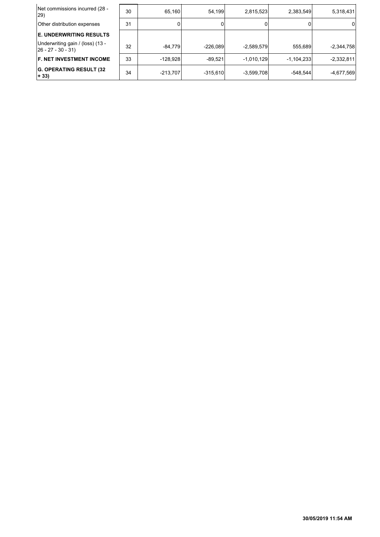| Net commissions incurred (28 -<br>29)                     | 30 | 65.160     | 54.199     | 2,815,523    | 2,383,549    | 5,318,431    |
|-----------------------------------------------------------|----|------------|------------|--------------|--------------|--------------|
| Other distribution expenses                               | 31 |            |            |              |              | 0            |
| <b>E. UNDERWRITING RESULTS</b>                            |    |            |            |              |              |              |
| Underwriting gain / (loss) (13 -<br>$ 26 - 27 - 30 - 31 $ | 32 | $-84.779$  | $-226.089$ | $-2,589,579$ | 555.689      | $-2,344,758$ |
| <b>F. NET INVESTMENT INCOME</b>                           | 33 | $-128.928$ | $-89.521$  | $-1,010,129$ | $-1,104,233$ | $-2,332,811$ |
| <b>G. OPERATING RESULT (32)</b><br>$+ 33)$                | 34 | $-213,707$ | $-315,610$ | $-3,599,708$ | $-548,544$   | -4,677,569   |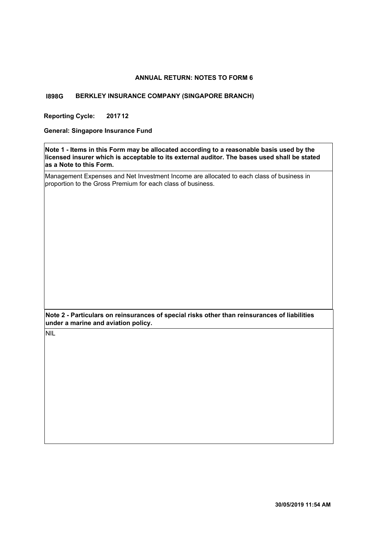#### **ANNUAL RETURN: NOTES TO FORM 6**

#### **I898G BERKLEY INSURANCE COMPANY (SINGAPORE BRANCH)**

**Reporting Cycle: 201712**

**General: Singapore Insurance Fund**

**Note 1 - Items in this Form may be allocated according to a reasonable basis used by the licensed insurer which is acceptable to its external auditor. The bases used shall be stated as a Note to this Form.**

Management Expenses and Net Investment Income are allocated to each class of business in proportion to the Gross Premium for each class of business.

**Note 2 - Particulars on reinsurances of special risks other than reinsurances of liabilities under a marine and aviation policy.**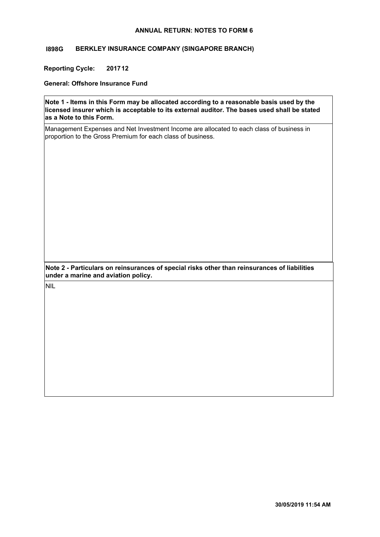#### **ANNUAL RETURN: NOTES TO FORM 6**

#### **I898G BERKLEY INSURANCE COMPANY (SINGAPORE BRANCH)**

**Reporting Cycle: 201712**

**General: Offshore Insurance Fund**

**Note 1 - Items in this Form may be allocated according to a reasonable basis used by the licensed insurer which is acceptable to its external auditor. The bases used shall be stated as a Note to this Form.**

Management Expenses and Net Investment Income are allocated to each class of business in proportion to the Gross Premium for each class of business.

**Note 2 - Particulars on reinsurances of special risks other than reinsurances of liabilities under a marine and aviation policy.**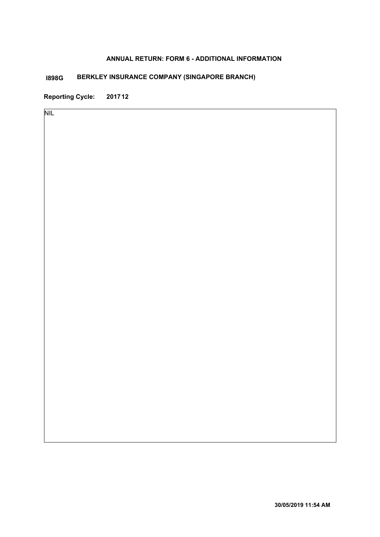### **ANNUAL RETURN: FORM 6 - ADDITIONAL INFORMATION**

# **BERKLEY INSURANCE COMPANY (SINGAPORE BRANCH) I898G**

**Reporting Cycle: 201712**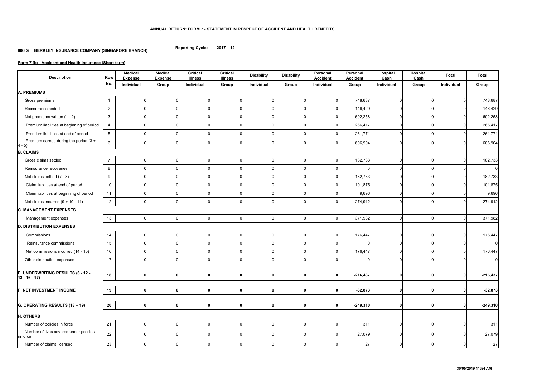#### **ANNUAL RETURN: FORM 7 - STATEMENT IN RESPECT OF ACCIDENT AND HEALTH BENEFITS**

**Reporting Cycle: 2017 12**

#### **I898G BERKLEY INSURANCE COMPANY (SINGAPORE BRANCH)**

| <b>Description</b>                                  | <b>Row</b>      | <b>Medical</b><br><b>Expense</b> | <b>Medical</b><br><b>Expense</b> | <b>Critical</b><br><b>Illness</b> | <b>Critical</b><br><b>Illness</b> | <b>Disability</b> | <b>Disability</b> | Personal<br><b>Accident</b> | Personal<br><b>Accident</b> | Hospital<br>Cash | Hospital<br>Cash | <b>Total</b>   | <b>Total</b>     |
|-----------------------------------------------------|-----------------|----------------------------------|----------------------------------|-----------------------------------|-----------------------------------|-------------------|-------------------|-----------------------------|-----------------------------|------------------|------------------|----------------|------------------|
|                                                     | No.             | Individual                       | Group                            | Individual                        | Group                             | Individual        | Group             | Individual                  | Group                       | Individual       | Group            | Individual     | Group            |
| <b>A. PREMIUMS</b>                                  |                 |                                  |                                  |                                   |                                   |                   |                   |                             |                             |                  |                  |                |                  |
| Gross premiums                                      | $\mathbf 1$     |                                  | $\Omega$                         | n                                 | $\Omega$                          |                   |                   | $\Omega$                    | 748,687                     | $\Omega$         | $\Omega$         | $\Omega$       | 748,687          |
| Reinsurance ceded                                   | $\overline{2}$  |                                  | $\Omega$                         | $\Omega$                          | $\Omega$                          |                   |                   |                             | 146,429                     | $\overline{0}$   | $\Omega$         | $\Omega$       | 146,429          |
| Net premiums written (1 - 2)                        | $\mathbf{3}$    |                                  | $\Omega$                         | $\Omega$                          | $\Omega$                          |                   |                   | ി                           | 602,258                     | $\overline{0}$   | $\Omega$         | $\Omega$       | 602,258          |
| Premium liabilities at beginning of period          | $\overline{4}$  |                                  | $\Omega$                         | $\Omega$                          | 0                                 |                   |                   |                             | 266,417                     | $\mathbf 0$      | $\Omega$         | <sup>0</sup>   | 266,417          |
| Premium liabilities at end of period                | $5\overline{)}$ |                                  |                                  |                                   | O                                 |                   |                   |                             | 261,771                     | $\overline{0}$   | $\Omega$         |                | 261,771          |
| Premium earned during the period (3 +<br>$4 - 5$    | $6\overline{6}$ |                                  |                                  |                                   | ∩                                 |                   |                   |                             | 606,904                     | 0                | $\Omega$         | n              | 606,904          |
| <b>B. CLAIMS</b>                                    |                 |                                  |                                  |                                   |                                   |                   |                   |                             |                             |                  |                  |                |                  |
| Gross claims settled                                | $\overline{7}$  |                                  | $\Omega$                         | $\Omega$                          | $\Omega$                          |                   |                   | $\Omega$                    | 182,733                     | $\overline{0}$   | $\Omega$         | $\Omega$       | 182,733          |
| Reinsurance recoveries                              | 8               |                                  | $\Omega$                         | n                                 | $\mathbf 0$                       |                   |                   | $\cap$                      |                             | $\overline{0}$   | $\Omega$         | $\overline{0}$ | $\boldsymbol{0}$ |
| Net claims settled (7 - 8)                          | 9               |                                  | $\Omega$                         | $\Omega$                          | 0                                 |                   |                   |                             | 182,733                     | $\Omega$         | $\Omega$         | $\Omega$       | 182,733          |
| Claim liabilities at end of period                  | $10$            |                                  |                                  |                                   | 0                                 |                   |                   |                             | 101,875                     | $\overline{0}$   | $\Omega$         | $\Omega$       | 101,875          |
| Claim liabilities at beginning of period            | 11              |                                  |                                  |                                   | O                                 |                   |                   |                             | 9,696                       | $\Omega$         |                  | <sup>n</sup>   | 9,696            |
| Net claims incurred $(9 + 10 - 11)$                 | 12              |                                  | $\Omega$                         | n                                 | $\Omega$                          |                   |                   |                             | 274,912                     | $\overline{0}$   | $\Omega$         | $\Omega$       | 274,912          |
| <b>C. MANAGEMENT EXPENSES</b>                       |                 |                                  |                                  |                                   |                                   |                   |                   |                             |                             |                  |                  |                |                  |
| Management expenses                                 | 13              |                                  | $\Omega$                         | $\Omega$                          | $\Omega$                          |                   |                   | $\Omega$                    | 371,982                     | $\overline{0}$   | $\Omega$         | $\overline{0}$ | 371,982          |
| <b>D. DISTRIBUTION EXPENSES</b>                     |                 |                                  |                                  |                                   |                                   |                   |                   |                             |                             |                  |                  |                |                  |
| Commissions                                         | 14              |                                  | $\mathbf{0}$                     | $\Omega$                          | $\mathbf{0}$                      | 0                 | $\Omega$          | $\overline{0}$              | 176,447                     | $\overline{0}$   | $\mathbf 0$      | $\overline{0}$ | 176,447          |
| Reinsurance commissions                             | 15              |                                  | $\Omega$                         | $\Omega$                          | $\mathbf{0}$                      | 0                 | $\Omega$          | $\Omega$                    | $\Omega$                    | $\overline{0}$   | $\mathbf 0$      | $\overline{0}$ | $\mathbf 0$      |
| Net commissions incurred (14 - 15)                  | 16              |                                  | $\Omega$                         | $\Omega$                          | $\mathbf{0}$                      |                   | ∩                 | $\Omega$                    | 176,447                     | $\overline{0}$   | $\Omega$         | $\Omega$       | 176,447          |
| Other distribution expenses                         | 17              |                                  | $\Omega$                         | $\Omega$                          | $\Omega$                          | $\Omega$          | ∩                 | $\Omega$                    | $\Omega$                    | $\Omega$         | $\Omega$         | $\overline{0}$ | 0                |
| E. UNDERWRITING RESULTS (6 - 12 -<br>$13 - 16 - 17$ | 18              | $\mathbf{0}$                     | $\Omega$                         | $\mathbf{0}$                      | $\mathbf{0}$                      | $\mathbf{0}$      | $\bf{0}$          | $\Omega$                    | $-216,437$                  | 0                | $\mathbf{0}$     | 0              | $-216,437$       |
| F. NET INVESTMENT INCOME                            | 19              | $\mathbf{0}$                     | $\mathbf{0}$                     | $\Omega$                          | $\mathbf{0}$                      | 0                 | $\mathbf{0}$      | 0                           | $-32,873$                   | 0                | $\mathbf{0}$     | $\mathbf{0}$   | $-32,873$        |
| G. OPERATING RESULTS (18 + 19)                      | 20              | $\mathbf{0}$                     | $\mathbf{0}$                     | $\mathbf{0}$                      | $\mathbf 0$                       | 0                 | $\mathbf 0$       | $\mathbf{0}$                | $-249,310$                  | 0                | $\mathbf{0}$     | $\mathbf{0}$   | $-249,310$       |
| H. OTHERS                                           |                 |                                  |                                  |                                   |                                   |                   |                   |                             |                             |                  |                  |                |                  |
| Number of policies in force                         | 21              | $\Omega$                         | $\mathbf{0}$                     | $\Omega$                          | $\mathbf 0$                       | $\Omega$          | $\Omega$          | $\overline{0}$              | 311                         | $\overline{0}$   | 0                | $\overline{0}$ | 311              |
| Number of lives covered under policies<br>in force  | 22              |                                  | $\Omega$                         | $\Omega$                          | 0                                 | 0                 |                   |                             | 27,079                      | $\overline{0}$   |                  | 0              | 27,079           |
| Number of claims licensed                           | 23              |                                  | $\mathbf{0}$                     | $\mathbf{0}$                      | 0                                 | $\Omega$          | $\Omega$          | $\Omega$                    | $27\,$                      | $\overline{0}$   | $\overline{0}$   | $\overline{0}$ | 27               |

# **Form 7 (b) - Accident and Health Insurance (Short-term)**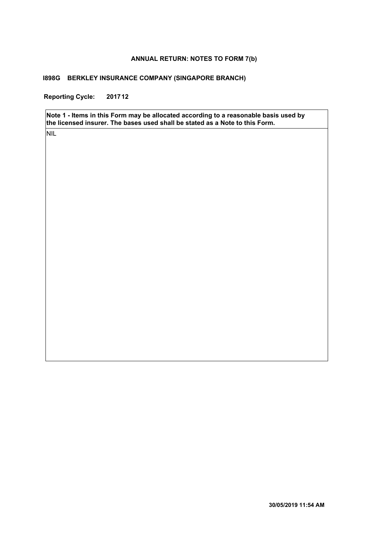#### **ANNUAL RETURN: NOTES TO FORM 7(b)**

#### **I898G BERKLEY INSURANCE COMPANY (SINGAPORE BRANCH)**

**Reporting Cycle: 201712**

**Note 1 - Items in this Form may be allocated according to a reasonable basis used by the licensed insurer. The bases used shall be stated as a Note to this Form.**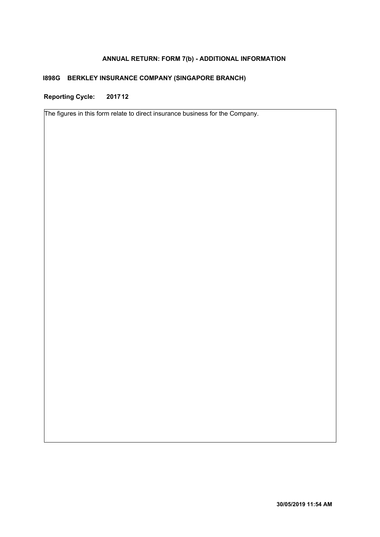# **ANNUAL RETURN: FORM 7(b) - ADDITIONAL INFORMATION**

# **I898G BERKLEY INSURANCE COMPANY (SINGAPORE BRANCH)**

**Reporting Cycle: 201712**

The figures in this form relate to direct insurance business for the Company.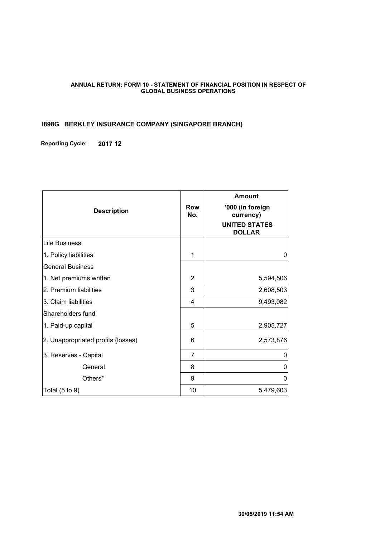#### **ANNUAL RETURN: FORM 10 - STATEMENT OF FINANCIAL POSITION IN RESPECT OF GLOBAL BUSINESS OPERATIONS**

# **I898G BERKLEY INSURANCE COMPANY (SINGAPORE BRANCH)**

**Reporting Cycle: 2017 12**

| <b>Description</b>                 | Row<br>No.     | <b>Amount</b><br>'000 (in foreign<br>currency)<br><b>UNITED STATES</b><br><b>DOLLAR</b> |
|------------------------------------|----------------|-----------------------------------------------------------------------------------------|
| <b>Life Business</b>               |                |                                                                                         |
| 1. Policy liabilities              | 1              | 0                                                                                       |
| <b>General Business</b>            |                |                                                                                         |
| 1. Net premiums written            | 2              | 5,594,506                                                                               |
| 2. Premium liabilities             | 3              | 2,608,503                                                                               |
| 3. Claim liabilities               | 4              | 9,493,082                                                                               |
| Shareholders fund                  |                |                                                                                         |
| 1. Paid-up capital                 | 5              | 2,905,727                                                                               |
| 2. Unappropriated profits (losses) | 6              | 2,573,876                                                                               |
| 3. Reserves - Capital              | $\overline{7}$ | 0                                                                                       |
| General                            | 8              | 0                                                                                       |
| Others*                            | 9              | 0                                                                                       |
| Total $(5$ to $9)$                 | 10             | 5,479,603                                                                               |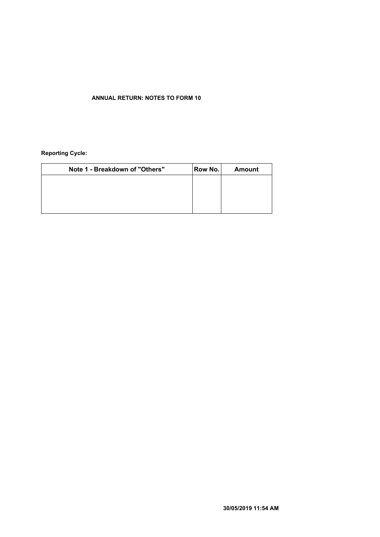#### **ANNUAL RETURN: NOTES TO FORM 10**

#### **Reporting Cycle:**

| Note 1 - Breakdown of "Others" | Row No. | <b>Amount</b> |
|--------------------------------|---------|---------------|
|                                |         |               |
|                                |         |               |
|                                |         |               |
|                                |         |               |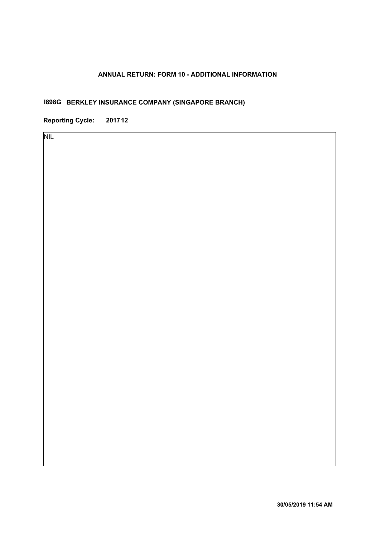# **ANNUAL RETURN: FORM 10 - ADDITIONAL INFORMATION**

# **I898G BERKLEY INSURANCE COMPANY (SINGAPORE BRANCH)**

**Reporting Cycle: 201712**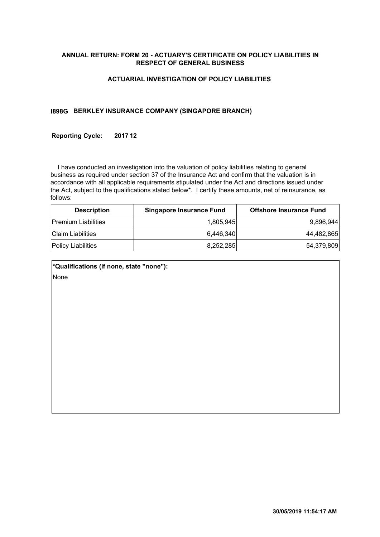#### **ANNUAL RETURN: FORM 20 - ACTUARY'S CERTIFICATE ON POLICY LIABILITIES IN RESPECT OF GENERAL BUSINESS**

#### **ACTUARIAL INVESTIGATION OF POLICY LIABILITIES**

#### **I898G BERKLEY INSURANCE COMPANY (SINGAPORE BRANCH)**

#### **Reporting Cycle: 201712**

 I have conducted an investigation into the valuation of policy liabilities relating to general business as required under section 37 of the Insurance Act and confirm that the valuation is in accordance with all applicable requirements stipulated under the Act and directions issued under the Act, subject to the qualifications stated below\*. I certify these amounts, net of reinsurance, as follows:

| <b>Description</b>         | <b>Singapore Insurance Fund</b> | <b>Offshore Insurance Fund</b> |
|----------------------------|---------------------------------|--------------------------------|
| <b>Premium Liabilities</b> | 1.805.945                       | 9,896,944                      |
| <b>Claim Liabilities</b>   | 6.446.340                       | 44,482,865                     |
| <b>Policy Liabilities</b>  | 8.252.285                       | 54,379,809                     |

| *Qualifications (if none, state "none"): |  |
|------------------------------------------|--|
| None                                     |  |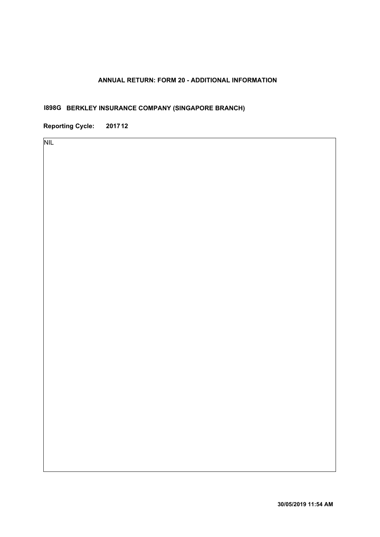# **ANNUAL RETURN: FORM 20 - ADDITIONAL INFORMATION**

# **BERKLEY INSURANCE COMPANY (SINGAPORE BRANCH) I898G**

**Reporting Cycle: 201712**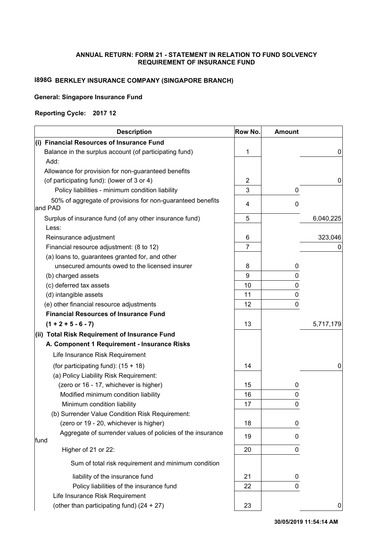#### **ANNUAL RETURN: FORM 21 - STATEMENT IN RELATION TO FUND SOLVENCY REQUIREMENT OF INSURANCE FUND**

# **I898G BERKLEY INSURANCE COMPANY (SINGAPORE BRANCH)**

#### **General: Singapore Insurance Fund**

#### **Reporting Cycle: 2017 12**

| <b>Description</b>                                         | Row No.        | <b>Amount</b> |           |
|------------------------------------------------------------|----------------|---------------|-----------|
| (i) Financial Resources of Insurance Fund                  |                |               |           |
| Balance in the surplus account (of participating fund)     | 1              |               | 0         |
| Add:                                                       |                |               |           |
| Allowance for provision for non-guaranteed benefits        |                |               |           |
| (of participating fund): (lower of 3 or 4)                 | $\overline{c}$ |               | 0         |
| Policy liabilities - minimum condition liability           | 3              | 0             |           |
| 50% of aggregate of provisions for non-guaranteed benefits | 4              | 0             |           |
| and PAD                                                    |                |               |           |
| Surplus of insurance fund (of any other insurance fund)    | 5              |               | 6,040,225 |
| Less:                                                      |                |               |           |
| Reinsurance adjustment                                     | 6              |               | 323,046   |
| Financial resource adjustment: (8 to 12)                   | $\overline{7}$ |               |           |
| (a) loans to, guarantees granted for, and other            |                |               |           |
| unsecured amounts owed to the licensed insurer             | 8              | 0             |           |
| (b) charged assets                                         | 9              | 0             |           |
| (c) deferred tax assets                                    | 10             | 0             |           |
| (d) intangible assets                                      | 11             | 0             |           |
| (e) other financial resource adjustments                   | 12             | 0             |           |
| <b>Financial Resources of Insurance Fund</b>               |                |               |           |
| $(1 + 2 + 5 - 6 - 7)$                                      | 13             |               | 5,717,179 |
| (ii) Total Risk Requirement of Insurance Fund              |                |               |           |
| A. Component 1 Requirement - Insurance Risks               |                |               |           |
| Life Insurance Risk Requirement                            |                |               |           |
| (for participating fund): $(15 + 18)$                      | 14             |               | 0         |
| (a) Policy Liability Risk Requirement:                     |                |               |           |
| (zero or 16 - 17, whichever is higher)                     | 15             | 0             |           |
| Modified minimum condition liability                       | 16             | 0             |           |
| Minimum condition liability                                | 17             | 0             |           |
| (b) Surrender Value Condition Risk Requirement:            |                |               |           |
| (zero or 19 - 20, whichever is higher)                     | 18             | 0             |           |
| Aggregate of surrender values of policies of the insurance | 19             | 0             |           |
| fund<br>Higher of 21 or 22:                                | 20             | 0             |           |
|                                                            |                |               |           |
| Sum of total risk requirement and minimum condition        |                |               |           |
| liability of the insurance fund                            | 21             | 0             |           |
| Policy liabilities of the insurance fund                   | 22             | 0             |           |
| Life Insurance Risk Requirement                            |                |               |           |
| (other than participating fund) (24 + 27)                  | 23             |               | 0         |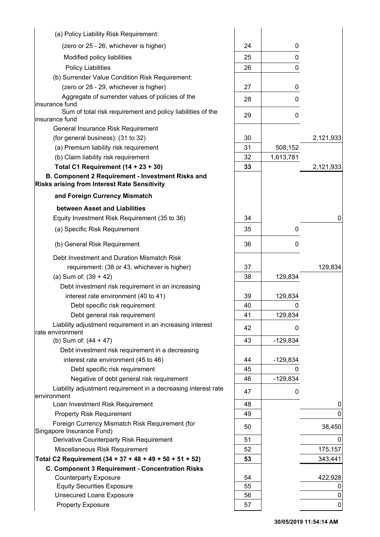| (a) Policy Liability Risk Requirement:                                        |          |                 |             |
|-------------------------------------------------------------------------------|----------|-----------------|-------------|
| (zero or 25 - 26, whichever is higher)                                        | 24       | 0               |             |
| Modified policy liabilities                                                   | 25       | 0               |             |
| <b>Policy Liabilities</b>                                                     | 26       | 0               |             |
| (b) Surrender Value Condition Risk Requirement:                               |          |                 |             |
| (zero or 28 - 29, whichever is higher)                                        | 27       | 0               |             |
| Aggregate of surrender values of policies of the                              | 28       | 0               |             |
| insurance fund                                                                |          |                 |             |
| Sum of total risk requirement and policy liabilities of the<br>insurance fund | 29       | 0               |             |
| General Insurance Risk Requirement                                            |          |                 |             |
| (for general business): (31 to 32)                                            | 30       |                 | 2,121,933   |
| (a) Premium liability risk requirement                                        | 31       | 508,152         |             |
| (b) Claim liability risk requirement                                          | 32       | 1,613,781       |             |
| Total C1 Requirement $(14 + 23 + 30)$                                         | 33       |                 | 2,121,933   |
| B. Component 2 Requirement - Investment Risks and                             |          |                 |             |
| <b>Risks arising from Interest Rate Sensitivity</b>                           |          |                 |             |
| and Foreign Currency Mismatch                                                 |          |                 |             |
| between Asset and Liabilities                                                 |          |                 |             |
| Equity Investment Risk Requirement (35 to 36)                                 | 34       |                 | 0           |
| (a) Specific Risk Requirement                                                 | 35       | 0               |             |
|                                                                               |          |                 |             |
| (b) General Risk Requirement                                                  | 36       | 0               |             |
| Debt Investment and Duration Mismatch Risk                                    |          |                 |             |
| requirement: (38 or 43, whichever is higher)                                  | 37       |                 | 129,834     |
| (a) Sum of: $(39 + 42)$                                                       | 38       | 129,834         |             |
| Debt investment risk requirement in an increasing                             |          |                 |             |
| interest rate environment (40 to 41)                                          | 39       | 129,834         |             |
| Debt specific risk requirement                                                | 40       | 0               |             |
| Debt general risk requirement                                                 | 41       | 129,834         |             |
| Liability adjustment requirement in an increasing interest                    | 42       | 0               |             |
| rate environment                                                              |          |                 |             |
| (b) Sum of: (44 + 47)                                                         | 43       | $-129,834$      |             |
| Debt investment risk requirement in a decreasing                              |          |                 |             |
| interest rate environment (45 to 46)                                          | 44<br>45 | $-129,834$<br>0 |             |
| Debt specific risk requirement<br>Negative of debt general risk requirement   | 46       | $-129,834$      |             |
| Liability adjustment requirement in a decreasing interest rate                |          |                 |             |
| environment                                                                   | 47       | 0               |             |
| Loan Investment Risk Requirement                                              | 48       |                 | 0           |
| <b>Property Risk Requirement</b>                                              | 49       |                 | 0           |
| Foreign Currency Mismatch Risk Requirement (for                               | 50       |                 | 38,450      |
| Singapore Insurance Fund)                                                     |          |                 |             |
| Derivative Counterparty Risk Requirement                                      | 51       |                 |             |
| Miscellaneous Risk Requirement                                                | 52       |                 | 175,157     |
| Total C2 Requirement (34 + 37 + 48 + 49 + 50 + 51 + 52)                       | 53       |                 | 343,441     |
| C. Component 3 Requirement - Concentration Risks                              |          |                 |             |
| <b>Counterparty Exposure</b><br><b>Equity Securities Exposure</b>             | 54<br>55 |                 | 422,928     |
| <b>Unsecured Loans Exposure</b>                                               | 56       |                 | 0           |
| <b>Property Exposure</b>                                                      | 57       |                 | $\mathbf 0$ |
|                                                                               |          |                 |             |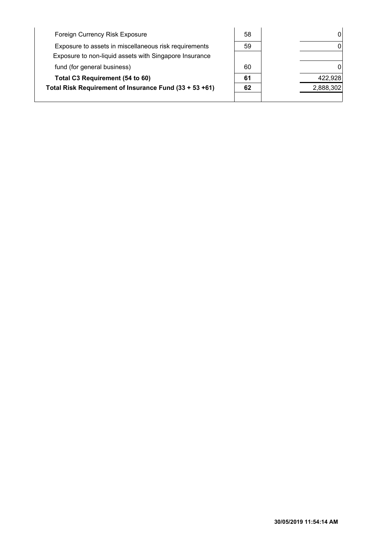| Foreign Currency Risk Exposure                                                                                  | 58 | 0         |
|-----------------------------------------------------------------------------------------------------------------|----|-----------|
| Exposure to assets in miscellaneous risk requirements<br>Exposure to non-liquid assets with Singapore Insurance | 59 | 0         |
| fund (for general business)                                                                                     | 60 |           |
| Total C3 Requirement (54 to 60)                                                                                 | 61 | 422,928   |
| Total Risk Requirement of Insurance Fund (33 + 53 +61)                                                          | 62 | 2,888,302 |
|                                                                                                                 |    |           |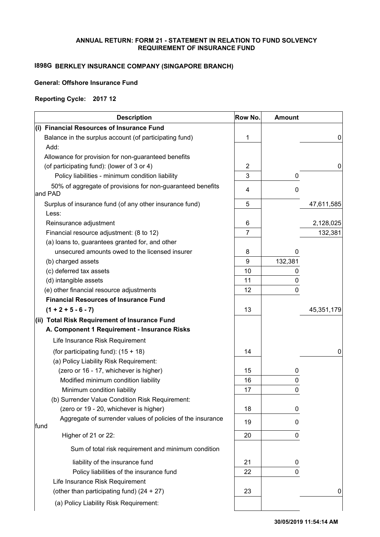#### **ANNUAL RETURN: FORM 21 - STATEMENT IN RELATION TO FUND SOLVENCY REQUIREMENT OF INSURANCE FUND**

# **I898G BERKLEY INSURANCE COMPANY (SINGAPORE BRANCH)**

### **General: Offshore Insurance Fund**

#### **Reporting Cycle: 2017 12**

| <b>Description</b>                                                    | Row No.        | <b>Amount</b> |            |
|-----------------------------------------------------------------------|----------------|---------------|------------|
| (i) Financial Resources of Insurance Fund                             |                |               |            |
| Balance in the surplus account (of participating fund)                | 1              |               | 0          |
| Add:                                                                  |                |               |            |
| Allowance for provision for non-guaranteed benefits                   |                |               |            |
| (of participating fund): (lower of 3 or 4)                            | 2              |               | 0          |
| Policy liabilities - minimum condition liability                      | 3              | 0             |            |
| 50% of aggregate of provisions for non-guaranteed benefits<br>and PAD | 4              | 0             |            |
| Surplus of insurance fund (of any other insurance fund)               | 5              |               | 47,611,585 |
| Less:                                                                 |                |               |            |
| Reinsurance adjustment                                                | 6              |               | 2,128,025  |
| Financial resource adjustment: (8 to 12)                              | $\overline{7}$ |               | 132,381    |
| (a) loans to, guarantees granted for, and other                       |                |               |            |
| unsecured amounts owed to the licensed insurer                        | 8              | 0             |            |
| (b) charged assets                                                    | 9              | 132,381       |            |
| (c) deferred tax assets                                               | 10             | 0             |            |
| (d) intangible assets                                                 | 11             | 0             |            |
| (e) other financial resource adjustments                              | 12             | 0             |            |
| <b>Financial Resources of Insurance Fund</b>                          |                |               |            |
| $(1 + 2 + 5 - 6 - 7)$                                                 | 13             |               | 45,351,179 |
| (ii) Total Risk Requirement of Insurance Fund                         |                |               |            |
| A. Component 1 Requirement - Insurance Risks                          |                |               |            |
| Life Insurance Risk Requirement                                       |                |               |            |
| (for participating fund): $(15 + 18)$                                 | 14             |               | 0          |
| (a) Policy Liability Risk Requirement:                                |                |               |            |
| (zero or 16 - 17, whichever is higher)                                | 15             | 0             |            |
| Modified minimum condition liability                                  | 16             | $\pmb{0}$     |            |
| Minimum condition liability                                           | 17             | $\mathbf 0$   |            |
| (b) Surrender Value Condition Risk Requirement:                       |                |               |            |
| (zero or 19 - 20, whichever is higher)                                | 18             | 0             |            |
| Aggregate of surrender values of policies of the insurance<br>fund    | 19             | 0             |            |
| Higher of 21 or 22:                                                   | 20             | 0             |            |
| Sum of total risk requirement and minimum condition                   |                |               |            |
| liability of the insurance fund                                       | 21             | 0             |            |
| Policy liabilities of the insurance fund                              | 22             | 0             |            |
| Life Insurance Risk Requirement                                       |                |               |            |
| (other than participating fund) (24 + 27)                             | 23             |               | 0          |
| (a) Policy Liability Risk Requirement:                                |                |               |            |
|                                                                       |                |               |            |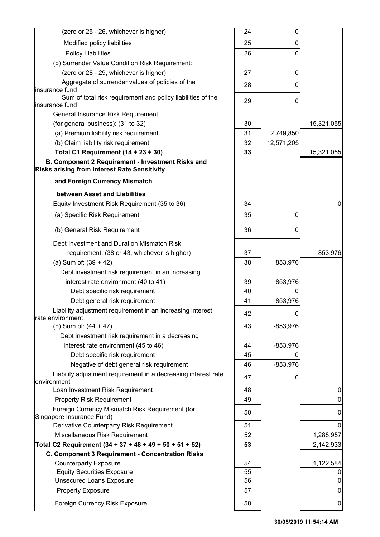| (zero or 25 - 26, whichever is higher)                                                                      | 24       | 0          |            |
|-------------------------------------------------------------------------------------------------------------|----------|------------|------------|
| Modified policy liabilities                                                                                 | 25       | 0          |            |
| <b>Policy Liabilities</b>                                                                                   | 26       | 0          |            |
| (b) Surrender Value Condition Risk Requirement:                                                             |          |            |            |
| (zero or 28 - 29, whichever is higher)                                                                      | 27       | 0          |            |
| Aggregate of surrender values of policies of the                                                            | 28       | 0          |            |
| insurance fund                                                                                              |          |            |            |
| Sum of total risk requirement and policy liabilities of the<br>insurance fund                               | 29       | 0          |            |
| General Insurance Risk Requirement                                                                          |          |            |            |
| (for general business): (31 to 32)                                                                          | 30       |            | 15,321,055 |
| (a) Premium liability risk requirement                                                                      | 31       | 2,749,850  |            |
| (b) Claim liability risk requirement                                                                        | 32       | 12,571,205 |            |
| Total C1 Requirement $(14 + 23 + 30)$                                                                       | 33       |            | 15,321,055 |
| B. Component 2 Requirement - Investment Risks and                                                           |          |            |            |
| <b>Risks arising from Interest Rate Sensitivity</b>                                                         |          |            |            |
| and Foreign Currency Mismatch                                                                               |          |            |            |
| between Asset and Liabilities                                                                               |          |            |            |
| Equity Investment Risk Requirement (35 to 36)                                                               | 34       |            | 0          |
| (a) Specific Risk Requirement                                                                               | 35       | 0          |            |
| (b) General Risk Requirement                                                                                | 36       | 0          |            |
| Debt Investment and Duration Mismatch Risk                                                                  |          |            |            |
| requirement: (38 or 43, whichever is higher)                                                                | 37       |            | 853,976    |
| (a) Sum of: $(39 + 42)$                                                                                     | 38       | 853,976    |            |
| Debt investment risk requirement in an increasing                                                           |          |            |            |
| interest rate environment (40 to 41)                                                                        | 39       | 853,976    |            |
| Debt specific risk requirement                                                                              | 40       | $\Omega$   |            |
| Debt general risk requirement                                                                               | 41       | 853,976    |            |
| Liability adjustment requirement in an increasing interest                                                  | 42       | U          |            |
| rate environment                                                                                            |          |            |            |
| (b) Sum of: $(44 + 47)$                                                                                     | 43       | $-853,976$ |            |
| Debt investment risk requirement in a decreasing                                                            |          |            |            |
| interest rate environment (45 to 46)                                                                        | 44       | $-853,976$ |            |
| Debt specific risk requirement                                                                              | 45<br>46 | 0          |            |
| Negative of debt general risk requirement<br>Liability adjustment requirement in a decreasing interest rate |          | $-853,976$ |            |
| lenvironment                                                                                                | 47       | 0          |            |
| Loan Investment Risk Requirement                                                                            | 48       |            | 0          |
| <b>Property Risk Requirement</b>                                                                            | 49       |            | 0          |
| Foreign Currency Mismatch Risk Requirement (for<br>Singapore Insurance Fund)                                | 50       |            | 0          |
| Derivative Counterparty Risk Requirement                                                                    | 51       |            | 0          |
| Miscellaneous Risk Requirement                                                                              | 52       |            | 1,288,957  |
| Total C2 Requirement (34 + 37 + 48 + 49 + 50 + 51 + 52)                                                     | 53       |            | 2,142,933  |
| C. Component 3 Requirement - Concentration Risks                                                            |          |            |            |
| <b>Counterparty Exposure</b>                                                                                | 54       |            | 1,122,584  |
| <b>Equity Securities Exposure</b>                                                                           | 55       |            |            |
| <b>Unsecured Loans Exposure</b>                                                                             | 56       |            | 0          |
| <b>Property Exposure</b>                                                                                    | 57       |            | 0          |
| Foreign Currency Risk Exposure                                                                              | 58       |            | 0          |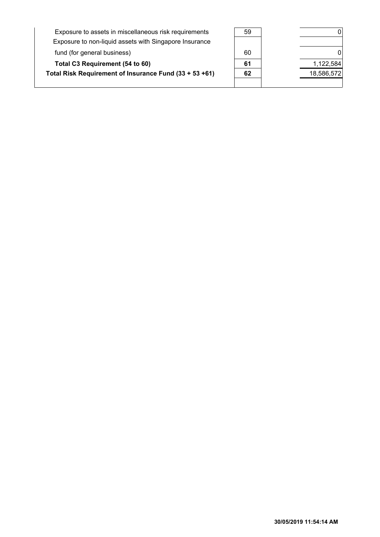| Exposure to assets in miscellaneous risk requirements  | 59 | 0          |
|--------------------------------------------------------|----|------------|
| Exposure to non-liquid assets with Singapore Insurance |    |            |
| fund (for general business)                            | 60 | 0          |
| Total C3 Requirement (54 to 60)                        | 61 | 1,122,584  |
| Total Risk Requirement of Insurance Fund (33 + 53 +61) | 62 | 18,586,572 |
|                                                        |    |            |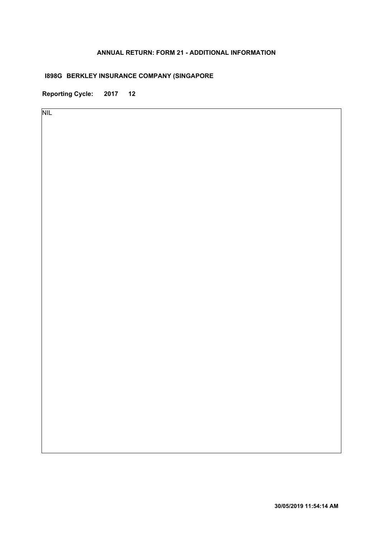### **ANNUAL RETURN: FORM 21 - ADDITIONAL INFORMATION**

# **I898G BERKLEY INSURANCE COMPANY (SINGAPORE**

**Reporting Cycle: 2017 12**

NIL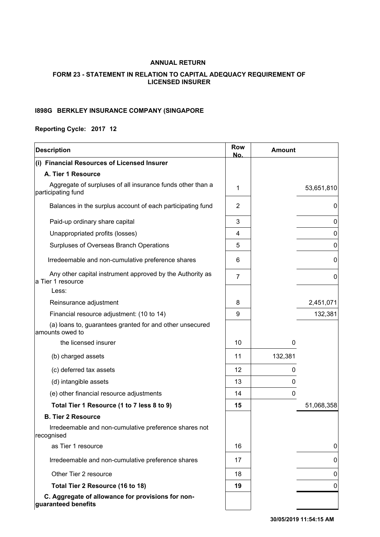### **ANNUAL RETURN**

### **FORM 23 - STATEMENT IN RELATION TO CAPITAL ADEQUACY REQUIREMENT OF LICENSED INSURER**

#### **BERKLEY INSURANCE COMPANY (SINGAPORE I898G**

### **Reporting Cycle: 2017 12**

| <b>Description</b>                                                                      | <b>Row</b><br>No. | <b>Amount</b> |                  |
|-----------------------------------------------------------------------------------------|-------------------|---------------|------------------|
| (i) Financial Resources of Licensed Insurer                                             |                   |               |                  |
| A. Tier 1 Resource                                                                      |                   |               |                  |
| Aggregate of surpluses of all insurance funds other than a<br>participating fund        | 1                 |               | 53,651,810       |
| Balances in the surplus account of each participating fund                              | $\overline{2}$    |               | 0                |
| Paid-up ordinary share capital                                                          | 3                 |               | 0                |
| Unappropriated profits (losses)                                                         | 4                 |               | 0                |
| Surpluses of Overseas Branch Operations                                                 | 5                 |               | 0                |
| Irredeemable and non-cumulative preference shares                                       | 6                 |               | 0                |
| Any other capital instrument approved by the Authority as<br>a Tier 1 resource<br>Less: | $\overline{7}$    |               | $\boldsymbol{0}$ |
| Reinsurance adjustment                                                                  | 8                 |               | 2,451,071        |
| Financial resource adjustment: (10 to 14)                                               | 9                 |               | 132,381          |
| (a) loans to, guarantees granted for and other unsecured<br>amounts owed to             |                   |               |                  |
| the licensed insurer                                                                    | 10                | 0             |                  |
| (b) charged assets                                                                      | 11                | 132,381       |                  |
| (c) deferred tax assets                                                                 | 12                | 0             |                  |
| (d) intangible assets                                                                   | 13                | 0             |                  |
| (e) other financial resource adjustments                                                | 14                | 0             |                  |
| Total Tier 1 Resource (1 to 7 less 8 to 9)                                              | 15                |               | 51,068,358       |
| <b>B. Tier 2 Resource</b>                                                               |                   |               |                  |
| Irredeemable and non-cumulative preference shares not<br>recognised                     |                   |               |                  |
| as Tier 1 resource                                                                      | 16                |               | 0                |
| Irredeemable and non-cumulative preference shares                                       | 17                |               | 0                |
| Other Tier 2 resource                                                                   | 18                |               | 0                |
| Total Tier 2 Resource (16 to 18)                                                        | 19                |               | 0                |
| C. Aggregate of allowance for provisions for non-<br>guaranteed benefits                |                   |               |                  |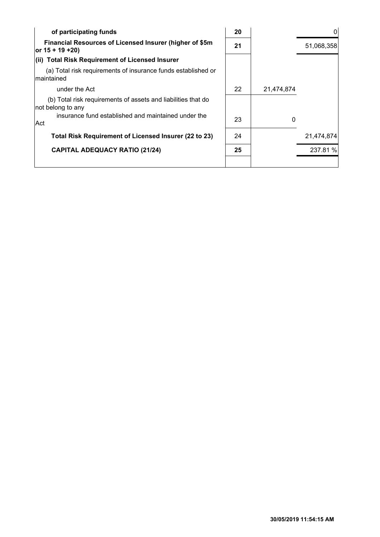| of participating funds                                                             | 20 |            |            |
|------------------------------------------------------------------------------------|----|------------|------------|
| Financial Resources of Licensed Insurer (higher of \$5m<br>or $15 + 19 + 20$       | 21 |            | 51,068,358 |
| <b>Total Risk Requirement of Licensed Insurer</b><br>(ii)                          |    |            |            |
| (a) Total risk requirements of insurance funds established or<br>maintained        |    |            |            |
| under the Act                                                                      | 22 | 21,474,874 |            |
| (b) Total risk requirements of assets and liabilities that do<br>not belong to any |    |            |            |
| insurance fund established and maintained under the<br> Act                        | 23 | 0          |            |
| Total Risk Requirement of Licensed Insurer (22 to 23)                              | 24 |            | 21,474,874 |
| <b>CAPITAL ADEQUACY RATIO (21/24)</b>                                              | 25 |            | 237.81 %   |
|                                                                                    |    |            |            |